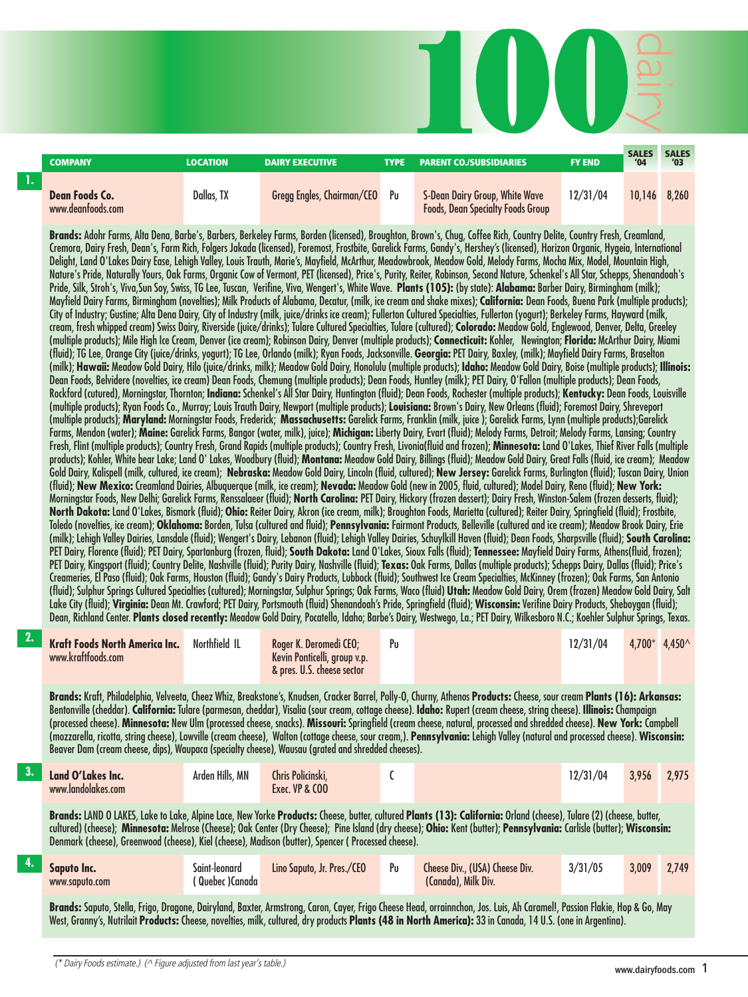|                | <b>COMPANY</b>                                                                                     | <b>LOCATION</b>                  | <b>DAIRY EXECUTIVE</b>                                                               | <b>TYPE</b> | <b>PARENT CO./SUBSIDIARIES</b>                                                                                                                                                                                                                                                                                                                                                                                                                                                                                                                                                                                                                                                                                                                                                                                                                                                                                                                                                                                                                                                                                                                                                                                                                                                                                                                                                                                                                                                                                                                                                                                                                                                                                                                                                                                                                                                                                                                                                                                                                                                                                                                                                                                                                                                                                                                                                                                                                                                                                                                                                                                                                                                                                                                                                                                                                                                                                                                                                                                                                                                                                                                                                                                                                                                                                                                                                                                                                                                                                                                                                                                                                                                                                                                                                                                                                                                                                                                                                                                                                                                                                                                                                                                                                                                                                                                                                                                                                                                                                                                                                                                                                                                                                                                                                                                                                                                                                                                                                                                                                                                                                                                                                                                                                                                                                                                                                                                                                                          | <b>FY END</b> | <b>SALES</b><br>'04 | SALES<br>'03  |
|----------------|----------------------------------------------------------------------------------------------------|----------------------------------|--------------------------------------------------------------------------------------|-------------|-------------------------------------------------------------------------------------------------------------------------------------------------------------------------------------------------------------------------------------------------------------------------------------------------------------------------------------------------------------------------------------------------------------------------------------------------------------------------------------------------------------------------------------------------------------------------------------------------------------------------------------------------------------------------------------------------------------------------------------------------------------------------------------------------------------------------------------------------------------------------------------------------------------------------------------------------------------------------------------------------------------------------------------------------------------------------------------------------------------------------------------------------------------------------------------------------------------------------------------------------------------------------------------------------------------------------------------------------------------------------------------------------------------------------------------------------------------------------------------------------------------------------------------------------------------------------------------------------------------------------------------------------------------------------------------------------------------------------------------------------------------------------------------------------------------------------------------------------------------------------------------------------------------------------------------------------------------------------------------------------------------------------------------------------------------------------------------------------------------------------------------------------------------------------------------------------------------------------------------------------------------------------------------------------------------------------------------------------------------------------------------------------------------------------------------------------------------------------------------------------------------------------------------------------------------------------------------------------------------------------------------------------------------------------------------------------------------------------------------------------------------------------------------------------------------------------------------------------------------------------------------------------------------------------------------------------------------------------------------------------------------------------------------------------------------------------------------------------------------------------------------------------------------------------------------------------------------------------------------------------------------------------------------------------------------------------------------------------------------------------------------------------------------------------------------------------------------------------------------------------------------------------------------------------------------------------------------------------------------------------------------------------------------------------------------------------------------------------------------------------------------------------------------------------------------------------------------------------------------------------------------------------------------------------------------------------------------------------------------------------------------------------------------------------------------------------------------------------------------------------------------------------------------------------------------------------------------------------------------------------------------------------------------------------------------------------------------------------------------------------------------------------------------------------------------------------------------------------------------------------------------------------------------------------------------------------------------------------------------------------------------------------------------------------------------------------------------------------------------------------------------------------------------------------------------------------------------------------------------------------------------------------------------------------------------------------------------------------------------------------------------------------------------------------------------------------------------------------------------------------------------------------------------------------------------------------------------------------------------------------------------------------------------------------------------------------------------------------------------------------------------------------------------------------------------------------------------------------|---------------|---------------------|---------------|
| $\mathbf{1}$ . | Dean Foods Co.<br>www.deanfoods.com                                                                | Dallas, TX                       | <b>Gregg Engles, Chairman/CEO</b>                                                    | Pu          | S-Dean Dairy Group, White Wave<br><b>Foods, Dean Specialty Foods Group</b>                                                                                                                                                                                                                                                                                                                                                                                                                                                                                                                                                                                                                                                                                                                                                                                                                                                                                                                                                                                                                                                                                                                                                                                                                                                                                                                                                                                                                                                                                                                                                                                                                                                                                                                                                                                                                                                                                                                                                                                                                                                                                                                                                                                                                                                                                                                                                                                                                                                                                                                                                                                                                                                                                                                                                                                                                                                                                                                                                                                                                                                                                                                                                                                                                                                                                                                                                                                                                                                                                                                                                                                                                                                                                                                                                                                                                                                                                                                                                                                                                                                                                                                                                                                                                                                                                                                                                                                                                                                                                                                                                                                                                                                                                                                                                                                                                                                                                                                                                                                                                                                                                                                                                                                                                                                                                                                                                                                              | 12/31/04      |                     | 10,146 8,260  |
|                |                                                                                                    |                                  |                                                                                      |             | Brands: Adohr Farms, Alta Dena, Barbe's, Barbers, Berkeley Farms, Borden (licensed), Broughton, Brown's, Chug, Coffee Rich, Country Delite, Country Fresh, Creamland,<br>Cremora, Dairy Fresh, Dean's, Farm Rich, Folgers Jakada (licensed), Foremost, Frostbite, Garelick Farms, Gandy's, Hershey's (licensed), Horizon Organic, Hygeia, International<br>Delight, Land O'Lakes Dairy Ease, Lehigh Valley, Louis Trauth, Marie's, Mayfield, McArthur, Meadowbrook, Meadow Gold, Melody Farms, Mocha Mix, Model, Mountain High,<br>Nature's Pride, Naturally Yours, Oak Farms, Organic Cow of Vermont, PET (licensed), Price's, Purity, Reiter, Robinson, Second Nature, Schenkel's All Star, Schepps, Shenandoah's<br>Pride, Silk, Stroh's, Viva,Sun Soy, Swiss, TG Lee, Tuscan, Verifine, Viva, Wengert's, White Wave. Plants (105): (by state): Alabama: Barber Dairy, Birmingham (milk);<br>Mayfield Dairy Farms, Birmingham (novelties); Milk Products of Alabama, Decatur, (milk, ice cream and shake mixes); California: Dean Foods, Buena Park (multiple products);<br>City of Industry; Gustine; Alta Dena Dairy, City of Industry (milk, juice/drinks ice cream); Fullerton Cultured Specialties, Fullerton (yogurt); Berkeley Farms, Hayward (milk,<br>cream, fresh whipped cream) Swiss Dairy, Riverside (juice/drinks); Tulare Cultured Specialties, Tulare (cultured); Colorado: Meadow Gold, Englewood, Denver, Delta, Greeley<br>(multiple products); Mile High Ice Cream, Denver (ice cream); Robinson Dairy, Denver (multiple products); Connecticuit: Kohler, Newington; Florida: McArthur Dairy, Miami<br>(fluid); TG Lee, Orange City (juice/drinks, yogurt); TG Lee, Orlando (milk); Ryan Foods, Jacksonville. Georgia: PET Dairy, Baxley, (milk); Mayfield Dairy Farms, Braselton<br>(milk); Hawaii: Meadow Gold Dairy, Hilo (juice/drinks, milk); Meadow Gold Dairy, Honolulu (multiple products); Idaho: Meadow Gold Dairy, Boise (multiple products); Illinois:<br>Dean Foods, Belvidere (novelties, ice cream) Dean Foods, Chemung (multiple products); Dean Foods, Huntley (milk); PET Dairy, O'Fallon (multiple products); Dean Foods,<br>Rockford (cutured), Morningstar, Thornton; Indiana: Schenkel's All Star Dairy, Huntington (fluid); Dean Foods, Rochester (multiple products); Kentucky: Dean Foods, Louisville<br>(multiple products); Ryan Foods Co., Murray; Louis Trauth Dairy, Newport (multiple products); Louisiana: Brown's Dairy, New Orleans (fluid); Foremost Dairy, Shreveport<br>(multiple products); Maryland: Morningstar Foods, Frederick; Massachusetts: Garelick Farms, Franklin (milk, juice); Garelick Farms, Lynn (multiple products);Garelick<br>Farms, Mendon (water); Maine: Garelick Farms, Bangor (water, milk), juice); Michigan: Liberty Dairy, Evart (fluid); Melody Farms, Detroit; Melody Farms, Lansing; Country<br>Fresh, Flint (multiple products); Country Fresh, Grand Rapids (multiple products); Country Fresh, Livonia(fluid and frozen); Minnesota: Land O'Lakes, Thief River Falls (multiple<br>products); Kohler, White bear Lake; Land O' Lakes, Woodbury (fluid); Montana: Meadow Gold Dairy, Billings (fluid); Meadow Gold Dairy, Great Falls (fluid, ice cream); Meadow<br>Gold Dairy, Kalispell (milk, cultured, ice cream); Nebraska: Meadow Gold Dairy, Lincoln (fluid, cultured); New Jersey: Garelick Farms, Burlington (fluid); Tuscan Dairy, Union<br>(fluid); New Mexico: Creamland Dairies, Albuquerque (milk, ice cream); Nevada: Meadow Gold (new in 2005, fluid, cultured); Model Dairy, Reno (fluid); New York:<br>Morningstar Foods, New Delhi; Garelick Farms, Renssalaeer (fluid); North Carolina: PET Dairy, Hickory (frozen dessert); Dairy Fresh, Winston-Salem (frozen desserts, fluid);<br>North Dakota: Land O'Lakes, Bismark (fluid); Ohio: Reiter Dairy, Akron (ice cream, milk); Broughton Foods, Marietta (cultured); Reiter Dairy, Springfield (fluid); Frostbite,<br>Toledo (novelties, ice cream); Oklahoma: Borden, Tulsa (cultured and fluid); Pennsylvania: Fairmont Products, Belleville (cultured and ice cream); Meadow Brook Dairy, Erie<br>(milk); Lehigh Valley Dairies, Lansdale (fluid); Wengert's Dairy, Lebanon (fluid); Lehigh Valley Dairies, Schuylkill Haven (fluid); Dean Foods, Sharpsville (fluid); South Carolina:<br>PET Dairy, Florence (fluid); PET Dairy, Spartanburg (frozen, fluid); South Dakota: Land O'Lakes, Sioux Falls (fluid); Tennessee: Mayfield Dairy Farms, Athens(fluid, frozen);<br>PET Dairy, Kingsport (fluid); Country Delite, Nashville (fluid); Purity Dairy, Nashville (fluid); Texas: Oak Farms, Dallas (multiple products); Schepps Dairy, Dallas (fluid); Price's<br>Creameries, El Paso (fluid); Oak Farms, Houston (fluid); Gandy's Dairy Products, Lubbock (fluid); Southwest Ice Cream Specialties, McKinney (frozen); Oak Farms, San Antonio<br>(fluid); Sulphur Springs Cultured Specialties (cultured); Morningstar, Sulphur Springs; Oak Farms, Waco (fluid) Utah: Meadow Gold Dairy, Orem (frozen) Meadow Gold Dairy, Salt<br>Lake City (fluid); Virginia: Dean Mt. Crawford; PET Dairy, Portsmouth (fluid) Shenandoah's Pride, Springfield (fluid); Wisconsin: Verifine Dairy Products, Sheboygan (fluid);<br>Dean, Richland Center. Plants closed recently: Meadow Gold Dairy, Pocatello, Idaho; Barbe's Dairy, Westwego, La.; PET Dairy, Wilkesboro N.C.; Koehler Sulphur Springs, Texas. |               |                     |               |
| 2.             | <b>Kraft Foods North America Inc.</b><br>www.kraftfoods.com                                        | Northfield IL                    | Roger K. Deromedi CEO;<br>Kevin Ponticelli, group v.p.<br>& pres. U.S. cheese sector | Pu          |                                                                                                                                                                                                                                                                                                                                                                                                                                                                                                                                                                                                                                                                                                                                                                                                                                                                                                                                                                                                                                                                                                                                                                                                                                                                                                                                                                                                                                                                                                                                                                                                                                                                                                                                                                                                                                                                                                                                                                                                                                                                                                                                                                                                                                                                                                                                                                                                                                                                                                                                                                                                                                                                                                                                                                                                                                                                                                                                                                                                                                                                                                                                                                                                                                                                                                                                                                                                                                                                                                                                                                                                                                                                                                                                                                                                                                                                                                                                                                                                                                                                                                                                                                                                                                                                                                                                                                                                                                                                                                                                                                                                                                                                                                                                                                                                                                                                                                                                                                                                                                                                                                                                                                                                                                                                                                                                                                                                                                                                         | 12/31/04      |                     | 4,700* 4,450^ |
|                | Beaver Dam (cream cheese, dips), Waupaca (specialty cheese), Wausau (grated and shredded cheeses). |                                  |                                                                                      |             | Brands: Kraft, Philadelphia, Velveeta, Cheez Whiz, Breakstone's, Knudsen, Cracker Barrel, Polly-O, Churny, Athenos Products: Cheese, sour cream Plants (16): Arkansas:<br>Bentonville (cheddar). California: Tulare (parmesan, cheddar), Visalia (sour cream, cottage cheese). Idaho: Rupert (cream cheese, string cheese). Illinois: Champaign<br>(processed cheese). Minnesota: New Ulm (processed cheese, snacks). Missouri: Springfield (cream cheese, natural, processed and shredded cheese). New York: Campbell<br>(mozzarella, ricotta, string cheese), Lowville (cream cheese), Walton (cottage cheese, sour cream,). Pennsylvania: Lehigh Valley (natural and processed cheese). Wisconsin:                                                                                                                                                                                                                                                                                                                                                                                                                                                                                                                                                                                                                                                                                                                                                                                                                                                                                                                                                                                                                                                                                                                                                                                                                                                                                                                                                                                                                                                                                                                                                                                                                                                                                                                                                                                                                                                                                                                                                                                                                                                                                                                                                                                                                                                                                                                                                                                                                                                                                                                                                                                                                                                                                                                                                                                                                                                                                                                                                                                                                                                                                                                                                                                                                                                                                                                                                                                                                                                                                                                                                                                                                                                                                                                                                                                                                                                                                                                                                                                                                                                                                                                                                                                                                                                                                                                                                                                                                                                                                                                                                                                                                                                                                                                                                                   |               |                     |               |
| 3.             | Land O'Lakes Inc.<br>www.landolakes.com                                                            | Arden Hills, MN                  | Chris Policinski,<br>Exec. VP & COO                                                  | C           |                                                                                                                                                                                                                                                                                                                                                                                                                                                                                                                                                                                                                                                                                                                                                                                                                                                                                                                                                                                                                                                                                                                                                                                                                                                                                                                                                                                                                                                                                                                                                                                                                                                                                                                                                                                                                                                                                                                                                                                                                                                                                                                                                                                                                                                                                                                                                                                                                                                                                                                                                                                                                                                                                                                                                                                                                                                                                                                                                                                                                                                                                                                                                                                                                                                                                                                                                                                                                                                                                                                                                                                                                                                                                                                                                                                                                                                                                                                                                                                                                                                                                                                                                                                                                                                                                                                                                                                                                                                                                                                                                                                                                                                                                                                                                                                                                                                                                                                                                                                                                                                                                                                                                                                                                                                                                                                                                                                                                                                                         | 12/31/04      | 3,956               | 2,975         |
|                | Denmark (cheese), Greenwood (cheese), Kiel (cheese), Madison (butter), Spencer (Processed cheese). |                                  |                                                                                      |             | Brands: LAND O LAKES, Lake to Lake, Alpine Lace, New Yorke Products: Cheese, butter, cultured Plants (13): California: Orland (cheese), Tulare (2) (cheese, butter,<br>cultured) (cheese); Minnesota: Melrose (Cheese); Oak Center (Dry Cheese); Pine Island (dry cheese); Ohio: Kent (butter); Pennsylvania: Carlisle (butter); Wisconsin:                                                                                                                                                                                                                                                                                                                                                                                                                                                                                                                                                                                                                                                                                                                                                                                                                                                                                                                                                                                                                                                                                                                                                                                                                                                                                                                                                                                                                                                                                                                                                                                                                                                                                                                                                                                                                                                                                                                                                                                                                                                                                                                                                                                                                                                                                                                                                                                                                                                                                                                                                                                                                                                                                                                                                                                                                                                                                                                                                                                                                                                                                                                                                                                                                                                                                                                                                                                                                                                                                                                                                                                                                                                                                                                                                                                                                                                                                                                                                                                                                                                                                                                                                                                                                                                                                                                                                                                                                                                                                                                                                                                                                                                                                                                                                                                                                                                                                                                                                                                                                                                                                                                             |               |                     |               |
| 4.             | <b>Saputo Inc.</b><br>www.saputo.com                                                               | Saint-leonard<br>(Quebec) Canada | Lino Saputo, Jr. Pres./CEO                                                           | Pu          | Cheese Div., (USA) Cheese Div.<br>(Canada), Milk Div.                                                                                                                                                                                                                                                                                                                                                                                                                                                                                                                                                                                                                                                                                                                                                                                                                                                                                                                                                                                                                                                                                                                                                                                                                                                                                                                                                                                                                                                                                                                                                                                                                                                                                                                                                                                                                                                                                                                                                                                                                                                                                                                                                                                                                                                                                                                                                                                                                                                                                                                                                                                                                                                                                                                                                                                                                                                                                                                                                                                                                                                                                                                                                                                                                                                                                                                                                                                                                                                                                                                                                                                                                                                                                                                                                                                                                                                                                                                                                                                                                                                                                                                                                                                                                                                                                                                                                                                                                                                                                                                                                                                                                                                                                                                                                                                                                                                                                                                                                                                                                                                                                                                                                                                                                                                                                                                                                                                                                   | 3/31/05       | 3,009               | 2,749         |
|                |                                                                                                    |                                  |                                                                                      |             | Brands: Saputo, Stella, Frigo, Dragone, Dairyland, Baxter, Armstrong, Caron, Cayer, Frigo Cheese Head, orrainnchon, Jos. Luis, Ah Caramel!, Passion Flakie, Hop & Go, May<br>West, Granny's, Nutrilait Products: Cheese, novelties, milk, cultured, dry products Plants (48 in North America): 33 in Canada, 14 U.S. (one in Argentina).                                                                                                                                                                                                                                                                                                                                                                                                                                                                                                                                                                                                                                                                                                                                                                                                                                                                                                                                                                                                                                                                                                                                                                                                                                                                                                                                                                                                                                                                                                                                                                                                                                                                                                                                                                                                                                                                                                                                                                                                                                                                                                                                                                                                                                                                                                                                                                                                                                                                                                                                                                                                                                                                                                                                                                                                                                                                                                                                                                                                                                                                                                                                                                                                                                                                                                                                                                                                                                                                                                                                                                                                                                                                                                                                                                                                                                                                                                                                                                                                                                                                                                                                                                                                                                                                                                                                                                                                                                                                                                                                                                                                                                                                                                                                                                                                                                                                                                                                                                                                                                                                                                                                |               |                     |               |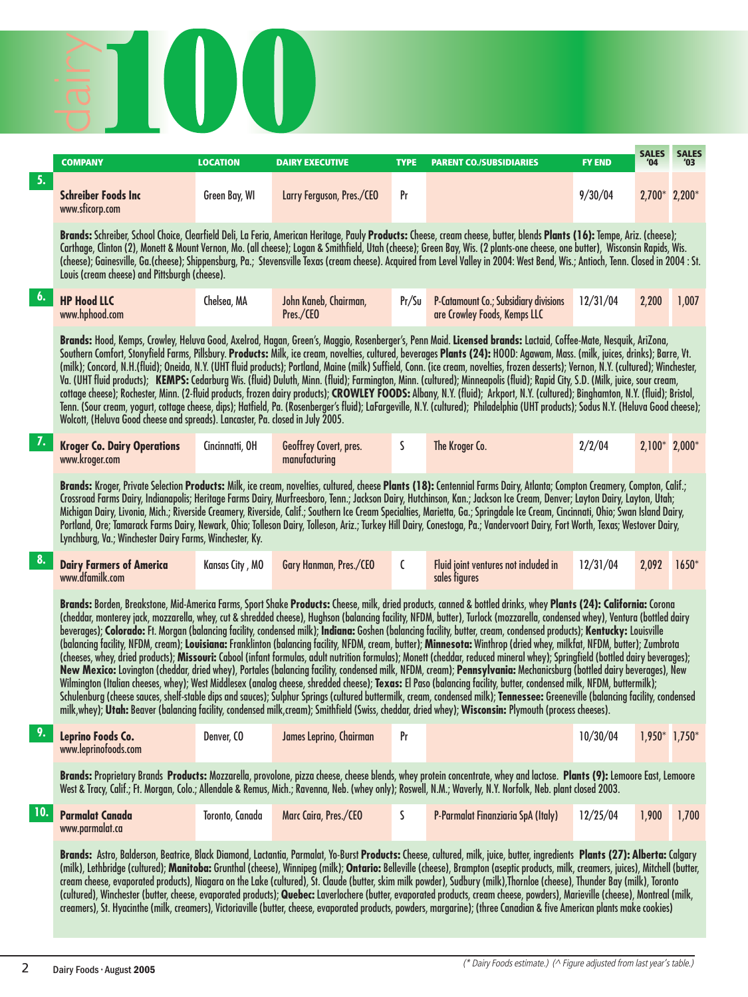

|                  | <b>COMPANY</b>                                                                 | <b>LOCATION</b> | <b>DAIRY EXECUTIVE</b>                  | <b>TYPE</b> | <b>PARENT CO./SUBSIDIARIES</b>                                                                                                                                                                                                                                                                                                                                                                                                                                                                                                                                                                                                                                                                                                                                                                                                                                                                                                                                                                                                                                                                                                                                                                                                                                                                                                                                                                                                                                                                                                                                             | <b>FY END</b> | <b>SALES</b><br>'04 | <b>SALES</b><br>'03 |
|------------------|--------------------------------------------------------------------------------|-----------------|-----------------------------------------|-------------|----------------------------------------------------------------------------------------------------------------------------------------------------------------------------------------------------------------------------------------------------------------------------------------------------------------------------------------------------------------------------------------------------------------------------------------------------------------------------------------------------------------------------------------------------------------------------------------------------------------------------------------------------------------------------------------------------------------------------------------------------------------------------------------------------------------------------------------------------------------------------------------------------------------------------------------------------------------------------------------------------------------------------------------------------------------------------------------------------------------------------------------------------------------------------------------------------------------------------------------------------------------------------------------------------------------------------------------------------------------------------------------------------------------------------------------------------------------------------------------------------------------------------------------------------------------------------|---------------|---------------------|---------------------|
| 5.               | <b>Schreiber Foods Inc</b><br>www.sficorp.com                                  | Green Bay, WI   | Larry Ferguson, Pres./CEO               | Pr          |                                                                                                                                                                                                                                                                                                                                                                                                                                                                                                                                                                                                                                                                                                                                                                                                                                                                                                                                                                                                                                                                                                                                                                                                                                                                                                                                                                                                                                                                                                                                                                            | 9/30/04       | 2,700* 2,200*       |                     |
|                  | Louis (cream cheese) and Pittsburgh (cheese).                                  |                 |                                         |             | Brands: Schreiber, School Choice, Clearfield Deli, La Feria, American Heritage, Pauly Products: Cheese, cream cheese, butter, blends Plants (16): Tempe, Ariz. (cheese);<br>Carthage, Clinton (2), Monett & Mount Vernon, Mo. (all cheese); Logan & Smithfield, Utah (cheese); Green Bay, Wis. (2 plants-one cheese, one butter), Wisconsin Rapids, Wis.<br>(cheese); Gainesville, Ga.(cheese); Shippensburg, Pa.; Stevensville Texas (cream cheese). Acquired from Level Valley in 2004: West Bend, Wis.; Antioch, Tenn. Closed in 2004 : St.                                                                                                                                                                                                                                                                                                                                                                                                                                                                                                                                                                                                                                                                                                                                                                                                                                                                                                                                                                                                                             |               |                     |                     |
| 6.               | <b>HP Hood LLC</b><br>www.hphood.com                                           | Chelsea, MA     | John Kaneb, Chairman,<br>Pres./CEO      | Pr/Su       | <b>P-Catamount Co.; Subsidiary divisions</b><br>are Crowley Foods, Kemps LLC                                                                                                                                                                                                                                                                                                                                                                                                                                                                                                                                                                                                                                                                                                                                                                                                                                                                                                                                                                                                                                                                                                                                                                                                                                                                                                                                                                                                                                                                                               | 12/31/04      | 2,200               | 1,007               |
|                  | Wolcott, (Heluva Good cheese and spreads). Lancaster, Pa. closed in July 2005. |                 |                                         |             | Brands: Hood, Kemps, Crowley, Heluva Good, Axelrod, Hagan, Green's, Maggio, Rosenberger's, Penn Maid. Licensed brands: Lactaid, Coffee-Mate, Nesquik, AriZona,<br>Southern Comfort, Stonyfield Farms, Pillsbury. Products: Milk, ice cream, novelties, cultured, beverages Plants (24): HOOD: Agawam, Mass. (milk, juices, drinks); Barre, Vt.<br>(milk); Concord, N.H.(fluid); Oneida, N.Y. (UHT fluid products); Portland, Maine (milk) Suffield, Conn. (ice cream, novelties, frozen desserts); Vernon, N.Y. (cultured); Winchester,<br>Va. (UHT fluid products); KEMPS: Cedarburg Wis. (fluid) Duluth, Minn. (fluid); Farmington, Minn. (cultured); Minneapolis (fluid); Rapid City, S.D. (Milk, juice, sour cream,<br>cottage cheese); Rochester, Minn. (2-fluid products, frozen dairy products); CROWLEY FOODS: Albany, N.Y. (fluid); Arkport, N.Y. (cultured); Binghamton, N.Y. (fluid); Bristol,<br>Tenn. (Sour cream, yogurt, cottage cheese, dips); Hatfield, Pa. (Rosenberger's fluid); LaFargeville, N.Y. (cultured); Philadelphia (UHT products); Sodus N.Y. (Heluva Good cheese);                                                                                                                                                                                                                                                                                                                                                                                                                                                                           |               |                     |                     |
| $\overline{J}$ . | <b>Kroger Co. Dairy Operations</b><br>www.kroger.com                           | Cincinnatti, OH | Geoffrey Covert, pres.<br>manufacturing | S           | The Kroger Co.                                                                                                                                                                                                                                                                                                                                                                                                                                                                                                                                                                                                                                                                                                                                                                                                                                                                                                                                                                                                                                                                                                                                                                                                                                                                                                                                                                                                                                                                                                                                                             | 2/2/04        | $2,100*$ 2,000*     |                     |
|                  | Lynchburg, Va.; Winchester Dairy Farms, Winchester, Ky.                        |                 |                                         |             | Brands: Kroger, Private Selection Products: Milk, ice cream, novelties, cultured, cheese Plants (18): Centennial Farms Dairy, Atlanta; Compton Creamery, Compton, Calif.;<br>Crossroad Farms Dairy, Indianapolis; Heritage Farms Dairy, Murfreesboro, Tenn.; Jackson Dairy, Hutchinson, Kan.; Jackson Ice Cream, Denver; Layton Dairy, Layton, Utah;<br>Michigan Dairy, Livonia, Mich.; Riverside Creamery, Riverside, Calif.; Southern Ice Cream Specialties, Marietta, Ga.; Springdale Ice Cream, Cincinnati, Ohio; Swan Island Dairy,<br>Portland, Ore; Tamarack Farms Dairy, Newark, Ohio; Tolleson Dairy, Tolleson, Ariz.; Turkey Hill Dairy, Conestoga, Pa.; Vandervoort Dairy, Fort Worth, Texas; Westover Dairy,                                                                                                                                                                                                                                                                                                                                                                                                                                                                                                                                                                                                                                                                                                                                                                                                                                                   |               |                     |                     |
| 8.               | <b>Dairy Farmers of America</b><br>www.dfamilk.com                             | Kansas City, MO | Gary Hanman, Pres./CEO                  | C           | Fluid joint ventures not included in<br>sales figures                                                                                                                                                                                                                                                                                                                                                                                                                                                                                                                                                                                                                                                                                                                                                                                                                                                                                                                                                                                                                                                                                                                                                                                                                                                                                                                                                                                                                                                                                                                      | 12/31/04      | 2,092               | $1650*$             |
|                  |                                                                                |                 |                                         |             | Brands: Borden, Breakstone, Mid-America Farms, Sport Shake Products: Cheese, milk, dried products, canned & bottled drinks, whey Plants (24): California: Corona<br>(cheddar, monterey jack, mozzarella, whey, cut & shredded cheese), Hughson (balancing facility, NFDM, butter), Turlock (mozzarella, condensed whey), Ventura (bottled dairy<br>beverages); Colorado: Ft. Morgan (balancing facility, condensed milk); Indiana: Goshen (balancing facility, butter, cream, condensed products); Kentucky: Louisville<br>(balancing facility, NFDM, cream); Louisiana: Franklinton (balancing facility, NFDM, cream, butter); Minnesota: Winthrop (dried whey, milkfat, NFDM, butter); Zumbrota<br>(cheeses, whey, dried products); Missouri: Cabool (infant formulas, adult nutrition formulas); Monett (cheddar, reduced mineral whey); Springfield (bottled dairy beverages);<br>New Mexico: Lovington (cheddar, dried whey), Portales (balancing facility, condensed milk, NFDM, cream); Pennsylvania: Mechanicsburg (bottled dairy beverages), New<br>Wilmington (Italian cheeses, whey); West Middlesex (analog cheese, shredded cheese); Texas: El Paso (balancing facility, butter, condensed milk, NFDM, buttermilk);<br>Schulenburg (cheese sauces, shelf-stable dips and sauces); Sulphur Springs (cultured buttermilk, cream, condensed milk); Tennessee: Greeneville (balancing facility, condensed<br>milk,whey); Utah: Beaver (balancing facility, condensed milk,cream); Smithfield (Swiss, cheddar, dried whey); Wisconsin: Plymouth (process cheeses). |               |                     |                     |
|                  | Leprino Foods Co.<br>www.leprinofoods.com                                      | Denver, CO      | James Leprino, Chairman                 | Pr          |                                                                                                                                                                                                                                                                                                                                                                                                                                                                                                                                                                                                                                                                                                                                                                                                                                                                                                                                                                                                                                                                                                                                                                                                                                                                                                                                                                                                                                                                                                                                                                            | 10/30/04      | $1,950*$ 1,750*     |                     |
|                  |                                                                                |                 |                                         |             | Brands: Proprietary Brands Products: Mozzarella, provolone, pizza cheese, cheese blends, whey protein concentrate, whey and lactose. Plants (9): Lemoore East, Lemoore<br>West & Tracy, Calif.; Ft. Morgan, Colo.; Allendale & Remus, Mich.; Ravenna, Neb. (whey only); Roswell, N.M.; Waverly, N.Y. Norfolk, Neb. plant closed 2003.                                                                                                                                                                                                                                                                                                                                                                                                                                                                                                                                                                                                                                                                                                                                                                                                                                                                                                                                                                                                                                                                                                                                                                                                                                      |               |                     |                     |
| 10.              | <b>Parmalat Canada</b><br>www.parmalat.ca                                      | Toronto, Canada | Marc Caira, Pres./CEO                   | S           | P-Parmalat Finanziaria SpA (Italy)                                                                                                                                                                                                                                                                                                                                                                                                                                                                                                                                                                                                                                                                                                                                                                                                                                                                                                                                                                                                                                                                                                                                                                                                                                                                                                                                                                                                                                                                                                                                         | 12/25/04      | 1,900               | 1,700               |
|                  |                                                                                |                 |                                         |             | Brands: Astro, Balderson, Beatrice, Black Diamond, Lactantia, Parmalat, Yo-Burst Products: Cheese, cultured, milk, juice, butter, ingredients Plants (27): Alberta: Calgary<br>(milk), Lethbridge (cultured); Manitoba: Grunthal (cheese), Winnipeg (milk); Ontario: Belleville (cheese), Brampton (aseptic products, milk, creamers, juices), Mitchell (butter,<br>cream cheese, evaporated products), Niagara on the Lake (cultured), St. Claude (butter, skim milk powder), Sudbury (milk), Thornloe (cheese), Thunder Bay (milk), Toronto<br>(cultured), Winchester (butter, cheese, evaporated products); Quebec: Laverlochere (butter, evaporated products, cream cheese, powders), Marieville (cheese), Montreal (milk,<br>creamers), St. Hyacinthe (milk, creamers), Victoriaville (butter, cheese, evaporated products, powders, margarine); (three Canadian & five American plants make cookies)                                                                                                                                                                                                                                                                                                                                                                                                                                                                                                                                                                                                                                                                 |               |                     |                     |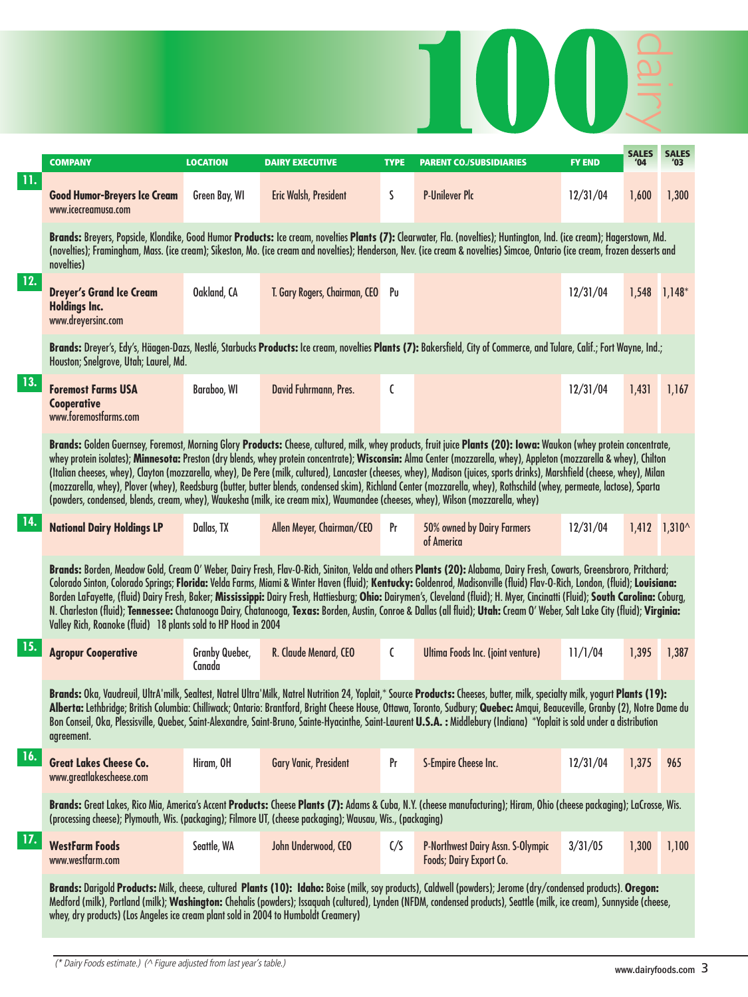|     | <b>COMPANY</b>                                                                                                                  | <b>LOCATION</b>          | <b>DAIRY EXECUTIVE</b>        | <b>TYPE</b> | <b>PARENT CO./SUBSIDIARIES</b>                                                                                                                                                                                                                                                                                                                                                                                                                                                                                                                                                                                                                                                                                     | <b>FY END</b> | <b>SALE</b> | <b>SALES</b><br>'03     |
|-----|---------------------------------------------------------------------------------------------------------------------------------|--------------------------|-------------------------------|-------------|--------------------------------------------------------------------------------------------------------------------------------------------------------------------------------------------------------------------------------------------------------------------------------------------------------------------------------------------------------------------------------------------------------------------------------------------------------------------------------------------------------------------------------------------------------------------------------------------------------------------------------------------------------------------------------------------------------------------|---------------|-------------|-------------------------|
| 11. | <b>Good Humor-Breyers Ice Cream</b><br>www.icecreamusa.com                                                                      | Green Bay, WI            | Eric Walsh, President         | S           | <b>P-Unilever Plc</b>                                                                                                                                                                                                                                                                                                                                                                                                                                                                                                                                                                                                                                                                                              | 12/31/04      | 1,600       | 1,300                   |
|     | novelties)                                                                                                                      |                          |                               |             | Brands: Breyers, Popsicle, Klondike, Good Humor Products: Ice cream, novelties Plants (7): Clearwater, Fla. (novelties); Huntington, Ind. (ice cream); Hagerstown, Md.<br>(novelties); Framingham, Mass. (ice cream); Sikeston, Mo. (ice cream and novelties); Henderson, Nev. (ice cream & novelties) Simcoe, Ontario (ice cream, frozen desserts and                                                                                                                                                                                                                                                                                                                                                             |               |             |                         |
| 12. | <b>Dreyer's Grand Ice Cream</b><br><b>Holdings Inc.</b><br>www.dreyersinc.com                                                   | Oakland, CA              | T. Gary Rogers, Chairman, CEO | Pu          |                                                                                                                                                                                                                                                                                                                                                                                                                                                                                                                                                                                                                                                                                                                    | 12/31/04      |             | $1,548$ 1,148*          |
|     | Houston; Snelgrove, Utah; Laurel, Md.                                                                                           |                          |                               |             | Brands: Dreyer's, Edy's, Häagen-Dazs, Nestlé, Starbucks Products: Ice cream, novelties Plants (7): Bakersfield, City of Commerce, and Tulare, Calif.; Fort Wayne, Ind.;                                                                                                                                                                                                                                                                                                                                                                                                                                                                                                                                            |               |             |                         |
| 13. | <b>Foremost Farms USA</b><br>Cooperative<br>www.foremostfarms.com                                                               | Baraboo, WI              | David Fuhrmann, Pres.         | C           |                                                                                                                                                                                                                                                                                                                                                                                                                                                                                                                                                                                                                                                                                                                    | 12/31/04      | 1,431       | 1,167                   |
|     | (powders, condensed, blends, cream, whey), Waukesha (milk, ice cream mix), Waumandee (cheeses, whey), Wilson (mozzarella, whey) |                          |                               |             | Brands: Golden Guernsey, Foremost, Morning Glory Products: Cheese, cultured, milk, whey products, fruit juice Plants (20): Iowa: Waukon (whey protein concentrate,<br>whey protein isolates); Minnesota: Preston (dry blends, whey protein concentrate); Wisconsin: Alma Center (mozzarella, whey), Appleton (mozzarella & whey), Chilton<br>(Italian cheeses, whey), Clayton (mozzarella, whey), De Pere (milk, cultured), Lancaster (cheeses, whey), Madison (juices, sports drinks), Marshfield (cheese, whey), Milan<br>(mozzarella, whey), Plover (whey), Reedsburg (butter, butter blends, condensed skim), Richland Center (mozzarella, whey), Rothschild (whey, permeate, lactose), Sparta                 |               |             |                         |
| 14. | <b>National Dairy Holdings LP</b>                                                                                               | Dallas, TX               | Allen Meyer, Chairman/CEO     | Pr          | 50% owned by Dairy Farmers<br>of America                                                                                                                                                                                                                                                                                                                                                                                                                                                                                                                                                                                                                                                                           | 12/31/04      |             | $1,412$ $1,310^{\circ}$ |
|     | Valley Rich, Roanoke (fluid) 18 plants sold to HP Hood in 2004                                                                  |                          |                               |             | Brands: Borden, Meadow Gold, Cream O' Weber, Dairy Fresh, Flav-O-Rich, Siniton, Velda and others Plants (20): Alabama, Dairy Fresh, Cowarts, Greensbroro, Pritchard;<br>Colorado Sinton, Colorado Springs; Florida: Velda Farms, Miami & Winter Haven (fluid); Kentucky: Goldenrod, Madisonville (fluid) Flav-O-Rich, London, (fluid); Louisiana:<br>Borden LaFayette, (fluid) Dairy Fresh, Baker; Mississippi: Dairy Fresh, Hattiesburg; Ohio: Dairymen's, Cleveland (fluid); H. Myer, Cincinatti (Fluid); South Carolina: Coburg,<br>N. Charleston (fluid); Tennessee: Chatanooga Dairy, Chatanooga, Texas: Borden, Austin, Conroe & Dallas (all fluid); Utah: Cream O' Weber, Salt Lake City (fluid); Virginia: |               |             |                         |
| 15. | <b>Agropur Cooperative</b>                                                                                                      | Granby Quebec,<br>Canada | R. Claude Menard, CEO         | C           | Ultima Foods Inc. (joint venture)                                                                                                                                                                                                                                                                                                                                                                                                                                                                                                                                                                                                                                                                                  | 11/1/04       | 1,395       | 1,387                   |
|     | agreement.                                                                                                                      |                          |                               |             | Brands: Oka, Vaudrevil, UltrA'milk, Sealtest, Natrel Ultra'Milk, Natrel Nutrition 24, Yoplait,* Source Products: Cheeses, butter, milk, specialty milk, yogurt Plants (19):<br>Alberta: Lethbridge; British Columbia: Chilliwack; Ontario: Brantford, Bright Cheese House, Ottawa, Toronto, Sudbury; Quebec: Amqui, Beauceville, Granby (2), Notre Dame du<br>Bon Conseil, Oka, Plessisville, Quebec, Saint-Alexandre, Saint-Bruno, Sainte-Hyacinthe, Saint-Laurent U.S.A. : Middlebury (Indiana) *Yoplait is sold under a distribution                                                                                                                                                                            |               |             |                         |
| 16. | <b>Great Lakes Cheese Co.</b><br>www.greatlakescheese.com                                                                       | Hiram, OH                | <b>Gary Vanic, President</b>  | Pr          | S-Empire Cheese Inc.                                                                                                                                                                                                                                                                                                                                                                                                                                                                                                                                                                                                                                                                                               | 12/31/04      | 1,375       | 965                     |
|     | (processing cheese); Plymouth, Wis. (packaging); Filmore UT, (cheese packaging); Wausau, Wis., (packaging)                      |                          |                               |             | Brands: Great Lakes, Rico Mia, America's Accent Products: Cheese Plants (7): Adams & Cuba, N.Y. (cheese manufacturing); Hiram, Ohio (cheese packaging); LaCrosse, Wis.                                                                                                                                                                                                                                                                                                                                                                                                                                                                                                                                             |               |             |                         |
| 17. | <b>WestFarm Foods</b><br>www.westfarm.com                                                                                       | Seattle, WA              | John Underwood, CEO           | C/S         | P-Northwest Dairy Assn. S-Olympic<br>Foods; Dairy Export Co.                                                                                                                                                                                                                                                                                                                                                                                                                                                                                                                                                                                                                                                       | 3/31/05       | 1,300       | 1,100                   |
|     | whey, dry products) (Los Angeles ice cream plant sold in 2004 to Humboldt Creamery)                                             |                          |                               |             | Brands: Darigold Products: Milk, cheese, cultured Plants (10): Idaho: Boise (milk, soy products), Caldwell (powders); Jerome (dry/condensed products). Oregon:<br>Medford (milk), Portland (milk); Washington: Chehalis (powders); Issaquah (cultured), Lynden (NFDM, condensed products), Seattle (milk, ice cream), Sunnyside (cheese,                                                                                                                                                                                                                                                                                                                                                                           |               |             |                         |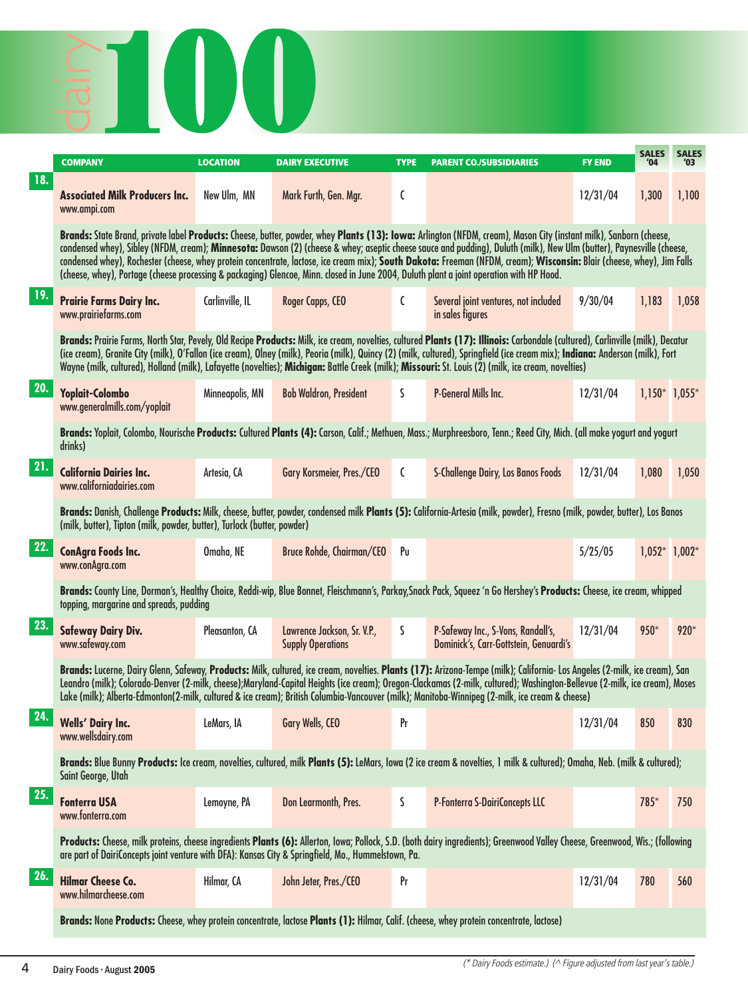

|            | <b>COMPANY</b>                                                                                                                           | <b>LOCATION</b> | <b>DAIRY EXECUTIVE</b>                                  | <b>TYPE</b> | <b>PARENT CO./SUBSIDIARIES</b>                                                                                                                                                                                                                                                                                                                                                                                                                                                                                        | <b>FY END</b> | <b>SALES</b><br>'04 | <b>SALES</b><br>'03 |
|------------|------------------------------------------------------------------------------------------------------------------------------------------|-----------------|---------------------------------------------------------|-------------|-----------------------------------------------------------------------------------------------------------------------------------------------------------------------------------------------------------------------------------------------------------------------------------------------------------------------------------------------------------------------------------------------------------------------------------------------------------------------------------------------------------------------|---------------|---------------------|---------------------|
| <b>18.</b> | <b>Associated Milk Producers Inc.</b><br>www.ampi.com                                                                                    | New Ulm, MN     | Mark Furth, Gen. Mgr.                                   | C           |                                                                                                                                                                                                                                                                                                                                                                                                                                                                                                                       | 12/31/04      | 1,300               | 1,100               |
|            | (cheese, whey), Portage (cheese processing & packaging) Glencoe, Minn. closed in June 2004, Duluth plant a joint operation with HP Hood. |                 |                                                         |             | Brands: State Brand, private label Products: Cheese, butter, powder, whey Plants (13): Iowa: Arlington (NFDM, cream), Mason City (instant milk), Sanborn (cheese,<br>condensed whey), Sibley (NFDM, cream); Minnesota: Dawson (2) (cheese & whey; aseptic cheese sauce and pudding), Duluth (milk), New Ulm (butter), Paynesville (cheese,<br>condensed whey), Rochester (cheese, whey protein concentrate, lactose, ice cream mix); South Dakota: Freeman (NFDM, cream); Wisconsin: Blair (cheese, whey), Jim Falls  |               |                     |                     |
| 19.        | Prairie Farms Dairy Inc.<br>www.prairiefarms.com                                                                                         | Carlinville, IL | Roger Capps, CEO                                        | C           | Several joint ventures, not included<br>in sales figures                                                                                                                                                                                                                                                                                                                                                                                                                                                              | 9/30/04       | 1,183               | 1,058               |
|            |                                                                                                                                          |                 |                                                         |             | Brands: Prairie Farms, North Star, Pevely, Old Recipe Products: Milk, ice cream, novelties, cultured Plants (17): Illinois: Carbondale (cultured), Carlinville (milk), Decatur<br>(ice cream), Granite City (milk), O'Fallon (ice cream), Olney (milk), Peoria (milk), Quincy (2) (milk, cultured), Springfield (ice cream mix); Indiana: Anderson (milk), Fort<br>Wayne (milk, cultured), Holland (milk), Lafayette (novelties); Michigan: Battle Creek (milk); Missouri: St. Louis (2) (milk, ice cream, novelties) |               |                     |                     |
| 20.        | Yoplait-Colombo<br>www.generalmills.com/yoplait                                                                                          | Minneapolis, MN | <b>Bob Waldron, President</b>                           | S           | <b>P-General Mills Inc.</b>                                                                                                                                                                                                                                                                                                                                                                                                                                                                                           | 12/31/04      | $1,150*$ 1,055*     |                     |
|            | drinks)                                                                                                                                  |                 |                                                         |             | Brands: Yoplait, Colombo, Nourische Products: Cultured Plants (4): Carson, Calif.; Methuen, Mass.; Murphreesboro, Tenn.; Reed City, Mich. (all make yogurt and yogurt                                                                                                                                                                                                                                                                                                                                                 |               |                     |                     |
| 21.        | <b>California Dairies Inc.</b><br>www.californiadairies.com                                                                              | Artesia, CA     | Gary Korsmeier, Pres./CEO                               | C           | <b>S-Challenge Dairy, Los Banos Foods</b>                                                                                                                                                                                                                                                                                                                                                                                                                                                                             | 12/31/04      | 1,080               | 1,050               |
|            | (milk, butter), Tipton (milk, powder, butter), Turlock (butter, powder)                                                                  |                 |                                                         |             | Brands: Danish, Challenge Products: Milk, cheese, butter, powder, condensed milk Plants (5): California-Artesia (milk, powder), Fresno (milk, powder, butter), Los Banos                                                                                                                                                                                                                                                                                                                                              |               |                     |                     |
| 22.        | <b>ConAgra Foods Inc.</b><br>www.conAgra.com                                                                                             | Omaha, NE       | Bruce Rohde, Chairman/CEO                               | Pu          |                                                                                                                                                                                                                                                                                                                                                                                                                                                                                                                       | 5/25/05       | $1,052^*$ 1,002*    |                     |
|            | topping, margarine and spreads, pudding                                                                                                  |                 |                                                         |             | Brands: County Line, Dorman's, Healthy Choice, Reddi-wip, Blue Bonnet, Fleischmann's, Parkay, Snack Pack, Squeez 'n Go Hershey's Products: Cheese, ice cream, whipped                                                                                                                                                                                                                                                                                                                                                 |               |                     |                     |
| 23.        | <b>Safeway Dairy Div.</b><br>www.safeway.com                                                                                             | Pleasanton, CA  | Lawrence Jackson, Sr. V.P.,<br><b>Supply Operations</b> | S.          | P-Safeway Inc., S-Vons, Randall's,<br>Dominick's, Carr-Gottstein, Genuardi's                                                                                                                                                                                                                                                                                                                                                                                                                                          | 12/31/04      | 950*                | 920*                |
|            |                                                                                                                                          |                 |                                                         |             | Brands: Lucerne, Dairy Glenn, Safeway, Products: Milk, cultured, ice cream, novelties. Plants (17): Arizona-Tempe (milk); California- Los Angeles (2-milk, ice cream), San<br>Leandro (milk); Colorado-Denver (2-milk, cheese);Maryland-Capital Heights (ice cream); Oregon-Clackamas (2-milk, cultured); Washington-Bellevue (2-milk, ice cream), Moses<br>Lake (milk); Alberta-Edmonton(2-milk, cultured & ice cream); British Columbia-Vancouver (milk); Manitoba-Winnipeg (2-milk, ice cream & cheese)            |               |                     |                     |
| 24.        | <b>Wells' Dairy Inc.</b><br>www.wellsdairy.com                                                                                           | LeMars, IA      | Gary Wells, CEO                                         | Pr          |                                                                                                                                                                                                                                                                                                                                                                                                                                                                                                                       | 12/31/04      | 850                 | 830                 |
|            | Saint George, Utah                                                                                                                       |                 |                                                         |             | Brands: Blue Bunny Products: Ice cream, novelties, cultured, milk Plants (5): LeMars, Iowa (2 ice cream & novelties, 1 milk & cultured); Omaha, Neb. (milk & cultured);                                                                                                                                                                                                                                                                                                                                               |               |                     |                     |
| 25.        | <b>Fonterra USA</b><br>www.fonterra.com                                                                                                  | Lemoyne, PA     | Don Learmonth, Pres.                                    | S           | P-Fonterra S-DairiConcepts LLC                                                                                                                                                                                                                                                                                                                                                                                                                                                                                        |               | 785*                | 750                 |
|            | are part of DairiConcepts joint venture with DFA): Kansas City & Springfield, Mo., Hummelstown, Pa.                                      |                 |                                                         |             | Products: Cheese, milk proteins, cheese ingredients Plants (6): Allerton, Iowa; Pollock, S.D. (both dairy ingredients); Greenwood Valley Cheese, Greenwood, Wis.; (following                                                                                                                                                                                                                                                                                                                                          |               |                     |                     |
| 26.        | <b>Hilmar Cheese Co.</b><br>www.hilmarcheese.com                                                                                         | Hilmar, CA      | John Jeter, Pres./CEO                                   | Pr          |                                                                                                                                                                                                                                                                                                                                                                                                                                                                                                                       | 12/31/04      | 780                 | 560                 |
|            |                                                                                                                                          |                 |                                                         |             | Brands: None Products: Cheese, whey protein concentrate, lactose Plants (1): Hilmar, Calif. (cheese, whey protein concentrate, lactose)                                                                                                                                                                                                                                                                                                                                                                               |               |                     |                     |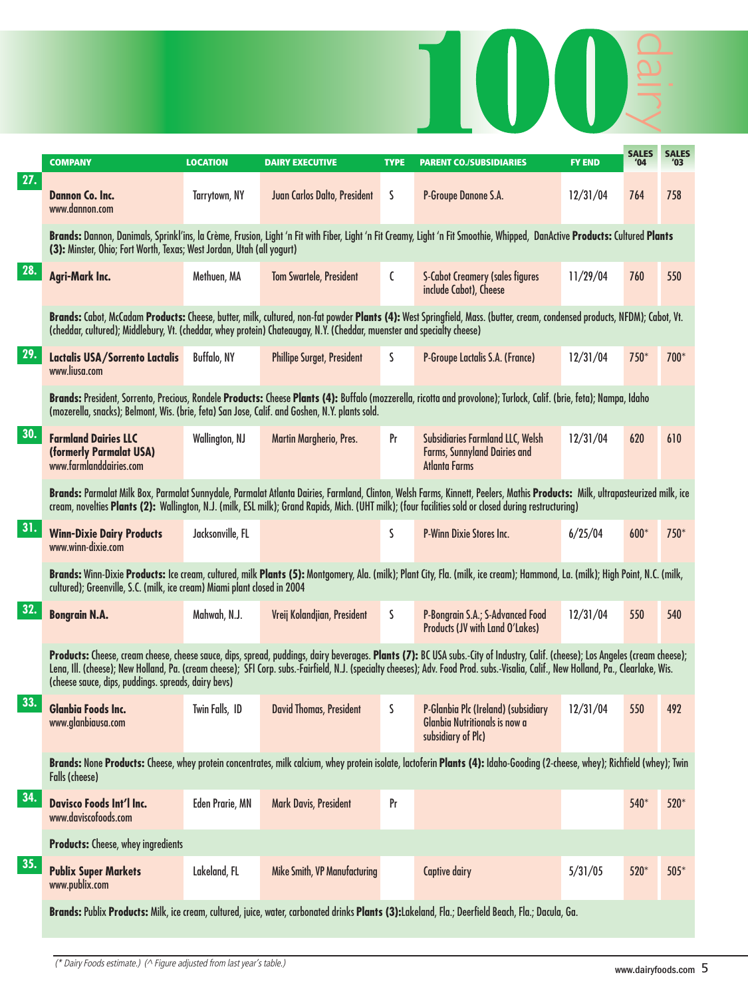|     |                                                                                                                        |                    |                                   |             | $\begin{matrix} \phantom{-} \end{matrix}$                                                                                                                                                                                                                                                                                                                             |               |                     |                     |
|-----|------------------------------------------------------------------------------------------------------------------------|--------------------|-----------------------------------|-------------|-----------------------------------------------------------------------------------------------------------------------------------------------------------------------------------------------------------------------------------------------------------------------------------------------------------------------------------------------------------------------|---------------|---------------------|---------------------|
|     | <b>COMPANY</b>                                                                                                         | <b>LOCATION</b>    | <b>DAIRY EXECUTIVE</b>            | <b>TYPE</b> | <b>PARENT CO./SUBSIDIARIES</b>                                                                                                                                                                                                                                                                                                                                        | <b>FY END</b> | <b>SALES</b><br>'04 | <b>SALES</b><br>'03 |
| 27. | <b>Dannon Co. Inc.</b><br>www.dannon.com                                                                               | Tarrytown, NY      | Juan Carlos Dalto, President      | S           | P-Groupe Danone S.A.                                                                                                                                                                                                                                                                                                                                                  | 12/31/04      | 764                 | 758                 |
|     | (3): Minster, Ohio; Fort Worth, Texas; West Jordan, Utah (all yogurt)                                                  |                    |                                   |             | Brands: Dannon, Danimals, Sprinkl'ins, la Crème, Frusion, Light 'n Fit with Fiber, Light 'n Fit Creamy, Light 'n Fit Smoothie, Whipped, DanActive Products: Cultured Plants                                                                                                                                                                                           |               |                     |                     |
| 28. | <b>Agri-Mark Inc.</b>                                                                                                  | Methuen, MA        | <b>Tom Swartele, President</b>    | C           | <b>S-Cabot Creamery (sales figures</b><br>include Cabot), Cheese                                                                                                                                                                                                                                                                                                      | 11/29/04      | 760                 | 550                 |
|     | (cheddar, cultured); Middlebury, Vt. (cheddar, whey protein) Chateaugay, N.Y. (Cheddar, muenster and specialty cheese) |                    |                                   |             | Brands: Cabot, McCadam Products: Cheese, butter, milk, cultured, non-fat powder Plants (4): West Springfield, Mass. (butter, cream, condensed products, NFDM); Cabot, Vt.                                                                                                                                                                                             |               |                     |                     |
| 29. | Lactalis USA/Sorrento Lactalis<br>www.liusa.com                                                                        | <b>Buffalo, NY</b> | <b>Phillipe Surget, President</b> | S           | P-Groupe Lactalis S.A. (France)                                                                                                                                                                                                                                                                                                                                       | 12/31/04      | $750*$              | 700*                |
|     | (mozerella, snacks); Belmont, Wis. (brie, feta) San Jose, Calif. and Goshen, N.Y. plants sold.                         |                    |                                   |             | Brands: President, Sorrento, Precious, Rondele Products: Cheese Plants (4): Buffalo (mozzerella, ricotta and provolone); Turlock, Calif. (brie, feta); Nampa, Idaho                                                                                                                                                                                                   |               |                     |                     |
| 30. | <b>Farmland Dairies LLC</b><br>(formerly Parmalat USA)<br>www.farmlanddairies.com                                      | Wallington, NJ     | Martin Margherio, Pres.           | Pr          | Subsidiaries Farmland LLC, Welsh<br>Farms, Sunnyland Dairies and<br>Atlanta Farms                                                                                                                                                                                                                                                                                     | 12/31/04      | 620                 | 610                 |
|     |                                                                                                                        |                    |                                   |             | Brands: Parmalat Milk Box, Parmalat Sunnydale, Parmalat Atlanta Dairies, Farmland, Clinton, Welsh Farms, Kinnett, Peelers, Mathis Products: Milk, ultrapasteurized milk, ice<br>cream, novelties Plants (2): Wallington, N.J. (milk, ESL milk); Grand Rapids, Mich. (UHT milk); (four facilities sold or closed during restructuring)                                 |               |                     |                     |
| 31. | <b>Winn-Dixie Dairy Products</b><br>www.winn-dixie.com                                                                 | Jacksonville, FL   |                                   | S           | P-Winn Dixie Stores Inc.                                                                                                                                                                                                                                                                                                                                              | 6/25/04       | $600*$              | 750*                |
|     | cultured); Greenville, S.C. (milk, ice cream) Miami plant closed in 2004                                               |                    |                                   |             | Brands: Winn-Dixie Products: Ice cream, cultured, milk Plants (5): Montgomery, Ala. (milk); Plant City, Fla. (milk, ice cream); Hammond, La. (milk); High Point, N.C. (milk,                                                                                                                                                                                          |               |                     |                     |
| 32. | <b>Bongrain N.A.</b>                                                                                                   | Mahwah, N.J.       | Vreij Kolandjian, President       | S           | P-Bongrain S.A.; S-Advanced Food<br><b>Products (JV with Land O'Lakes)</b>                                                                                                                                                                                                                                                                                            | 12/31/04      | 550                 | 540                 |
|     | (cheese sauce, dips, puddings. spreads, dairy bevs)                                                                    |                    |                                   |             | Products: Cheese, cream cheese, cheese sauce, dips, spread, puddings, dairy beverages. Plants (7): BC USA subs.-City of Industry, Calif. (cheese); Los Angeles (cream cheese);<br>Lena, Ill. (cheese); New Holland, Pa. (cream cheese); SFI Corp. subs.-Fairfield, N.J. (specialty cheeses); Adv. Food Prod. subs.-Visalia, Calif., New Holland, Pa., Clearlake, Wis. |               |                     |                     |
| 33. | <b>Glanbia Foods Inc.</b><br>www.glanbiausa.com                                                                        | Twin Falls, ID     | <b>David Thomas, President</b>    | S.          | P-Glanbia Plc (Ireland) (subsidiary<br><b>Glanbia Nutritionals is now a</b><br>subsidiary of Plc)                                                                                                                                                                                                                                                                     | 12/31/04      | 550                 | 492                 |
|     | <b>Falls (cheese)</b>                                                                                                  |                    |                                   |             | Brands: None Products: Cheese, whey protein concentrates, milk calcium, whey protein isolate, lactoferin Plants (4): Idaho-Gooding (2-cheese, whey); Richfield (whey); Twin                                                                                                                                                                                           |               |                     |                     |
| 34. | <b>Davisco Foods Int'l Inc.</b><br>www.daviscofoods.com                                                                | Eden Prarie, MN    | <b>Mark Davis, President</b>      | Pr          |                                                                                                                                                                                                                                                                                                                                                                       |               | 540*                | 520*                |
|     | <b>Products:</b> Cheese, whey ingredients                                                                              |                    |                                   |             |                                                                                                                                                                                                                                                                                                                                                                       |               |                     |                     |
| 35. | <b>Publix Super Markets</b><br>www.publix.com                                                                          | Lakeland, FL       | Mike Smith, VP Manufacturing      |             | <b>Captive dairy</b>                                                                                                                                                                                                                                                                                                                                                  | 5/31/05       | 520*                | $505*$              |
|     |                                                                                                                        |                    |                                   |             | Brands: Publix Products: Milk, ice cream, cultured, juice, water, carbonated drinks Plants (3):Lakeland, Fla.; Deerfield Beach, Fla.; Dacula, Ga.                                                                                                                                                                                                                     |               |                     |                     |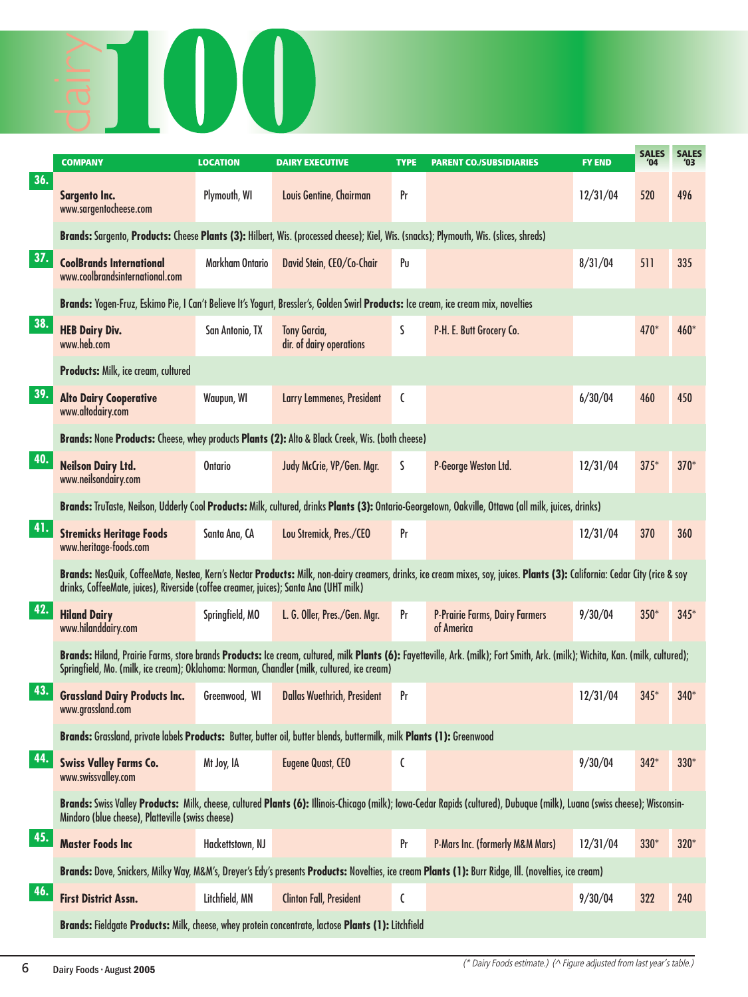

|     | <b>COMPANY</b>                                                                                                                        | <b>LOCATION</b>  | <b>DAIRY EXECUTIVE</b>                          | <b>TYPE</b> | <b>PARENT CO./SUBSIDIARIES</b>                                                                                                                                                  | <b>FY END</b> | <b>SALES</b><br>'04 | <b>SALES</b><br>'03 |
|-----|---------------------------------------------------------------------------------------------------------------------------------------|------------------|-------------------------------------------------|-------------|---------------------------------------------------------------------------------------------------------------------------------------------------------------------------------|---------------|---------------------|---------------------|
| 36. | <b>Sargento Inc.</b><br>www.sargentocheese.com                                                                                        | Plymouth, WI     | Louis Gentine, Chairman                         | Pr          |                                                                                                                                                                                 | 12/31/04      | 520                 | 496                 |
|     | Brands: Sargento, Products: Cheese Plants (3): Hilbert, Wis. (processed cheese); Kiel, Wis. (snacks); Plymouth, Wis. (slices, shreds) |                  |                                                 |             |                                                                                                                                                                                 |               |                     |                     |
| 37. | <b>CoolBrands International</b><br>www.coolbrandsinternational.com                                                                    | Markham Ontario  | David Stein, CEO/Co-Chair                       | Pu          |                                                                                                                                                                                 | 8/31/04       | 511                 | 335                 |
|     | Brands: Yogen-Fruz, Eskimo Pie, I Can't Believe It's Yogurt, Bressler's, Golden Swirl Products: Ice cream, ice cream mix, novelties   |                  |                                                 |             |                                                                                                                                                                                 |               |                     |                     |
| 38. | <b>HEB Dairy Div.</b><br>www.heb.com                                                                                                  | San Antonio, TX  | <b>Tony Garcia,</b><br>dir. of dairy operations | S           | P-H. E. Butt Grocery Co.                                                                                                                                                        |               | 470*                | 460*                |
|     | Products: Milk, ice cream, cultured                                                                                                   |                  |                                                 |             |                                                                                                                                                                                 |               |                     |                     |
| 39. | <b>Alto Dairy Cooperative</b><br>www.altodairy.com                                                                                    | Waupun, WI       | Larry Lemmenes, President                       | C           |                                                                                                                                                                                 | 6/30/04       | 460                 | 450                 |
|     | Brands: None Products: Cheese, whey products Plants (2): Alto & Black Creek, Wis. (both cheese)                                       |                  |                                                 |             |                                                                                                                                                                                 |               |                     |                     |
| 40. | <b>Neilson Dairy Ltd.</b><br>www.neilsondairy.com                                                                                     | <b>Ontario</b>   | Judy McCrie, VP/Gen. Mgr.                       | S           | P-George Weston Ltd.                                                                                                                                                            | 12/31/04      | $375*$              | $370*$              |
|     |                                                                                                                                       |                  |                                                 |             | Brands: TruTaste, Neilson, Udderly Cool Products: Milk, cultured, drinks Plants (3): Ontario-Georgetown, Oakville, Ottawa (all milk, juices, drinks)                            |               |                     |                     |
| 41. | <b>Stremicks Heritage Foods</b><br>www.heritage-foods.com                                                                             | Santa Ana, CA    | Lou Stremick, Pres./CEO                         | Pr          |                                                                                                                                                                                 | 12/31/04      | 370                 | 360                 |
|     | drinks, CoffeeMate, juices), Riverside (coffee creamer, juices); Santa Ana (UHT milk)                                                 |                  |                                                 |             | Brands: NesQuik, CoffeeMate, Nestea, Kern's Nectar Products: Milk, non-dairy creamers, drinks, ice cream mixes, soy, juices. Plants (3): California: Cedar City (rice & soy     |               |                     |                     |
| 42. | <b>Hiland Dairy</b><br>www.hilanddairy.com                                                                                            | Springfield, MO  | L. G. Oller, Pres./Gen. Mgr.                    | Pr          | <b>P-Prairie Farms, Dairy Farmers</b><br>of America                                                                                                                             | 9/30/04       | $350*$              | $345*$              |
|     | Springfield, Mo. (milk, ice cream); Oklahoma: Norman, Chandler (milk, cultured, ice cream)                                            |                  |                                                 |             | Brands: Hiland, Prairie Farms, store brands Products: Ice cream, cultured, milk Plants (6): Fayetteville, Ark. (milk); Fort Smith, Ark. (milk); Wichita, Kan. (milk, cultured); |               |                     |                     |
| 43. | <b>Grassland Dairy Products Inc.</b><br>www.grassland.com                                                                             | Greenwood, WI    | <b>Dallas Wuethrich, President</b>              | Pr          |                                                                                                                                                                                 | 12/31/04      | $345*$              | 340*                |
|     | Brands: Grassland, private labels Products: Butter, butter oil, butter blends, buttermilk, milk Plants (1): Greenwood                 |                  |                                                 |             |                                                                                                                                                                                 |               |                     |                     |
| 44. | <b>Swiss Valley Farms Co.</b><br>www.swissvalley.com                                                                                  | Mt Joy, IA       | <b>Eugene Quast, CEO</b>                        | C           |                                                                                                                                                                                 | 9/30/04       | $342*$              | $330*$              |
|     | Mindoro (blue cheese), Platteville (swiss cheese)                                                                                     |                  |                                                 |             | Brands: Swiss Valley Products: Milk, cheese, cultured Plants (6): Illinois-Chicago (milk); Iowa-Cedar Rapids (cultured), Dubuque (milk), Luana (swiss cheese); Wisconsin-       |               |                     |                     |
| 45. | <b>Master Foods Inc</b>                                                                                                               | Hackettstown, NJ |                                                 | Pr          | <b>P-Mars Inc. (formerly M&amp;M Mars)</b>                                                                                                                                      | 12/31/04      | 330*                | $320*$              |
|     |                                                                                                                                       |                  |                                                 |             | Brands: Dove, Snickers, Milky Way, M&M's, Dreyer's Edy's presents Products: Novelties, ice cream Plants (1): Burr Ridge, Ill. (novelties, ice cream)                            |               |                     |                     |
| 46. | <b>First District Assn.</b>                                                                                                           | Litchfield, MN   | <b>Clinton Fall, President</b>                  | C           |                                                                                                                                                                                 | 9/30/04       | 322                 | 240                 |
|     | Brands: Fieldgate Products: Milk, cheese, whey protein concentrate, lactose Plants (1): Litchfield                                    |                  |                                                 |             |                                                                                                                                                                                 |               |                     |                     |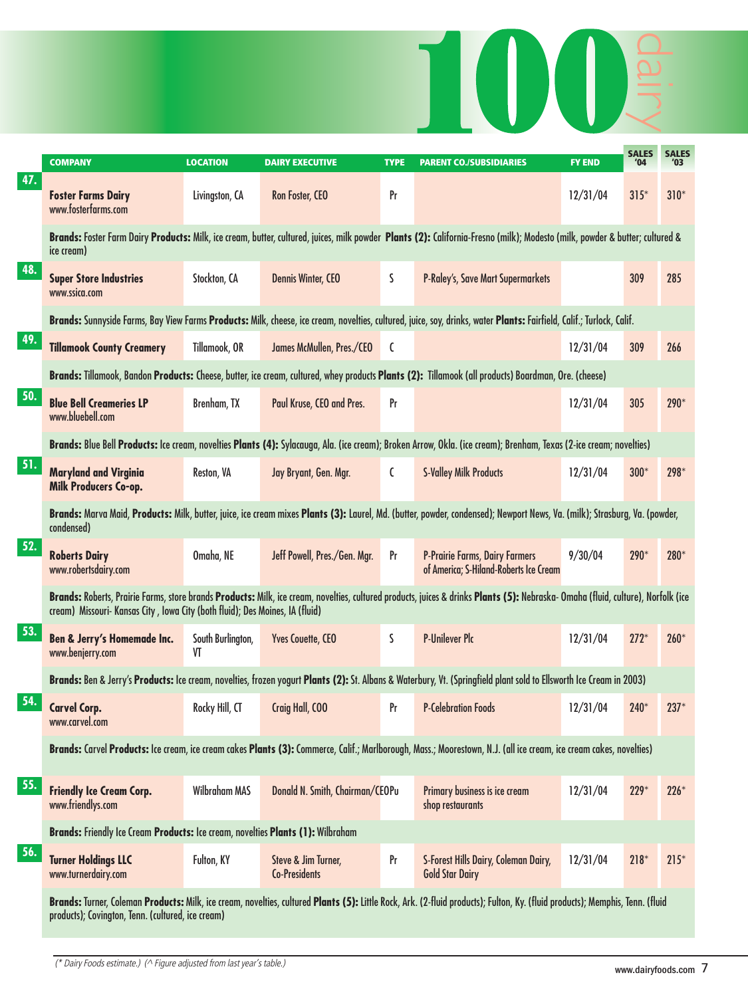|     | <b>COMPANY</b>                                                                  | <b>LOCATION</b>         | <b>DAIRY EXECUTIVE</b>                      | <b>TYPE</b>    | <b>PARENT CO./SUBSIDIARIES</b>                                                                                                                                                   | <b>FY END</b> | <b>SALES</b><br>'04 | <b>SALES</b><br>'03 |
|-----|---------------------------------------------------------------------------------|-------------------------|---------------------------------------------|----------------|----------------------------------------------------------------------------------------------------------------------------------------------------------------------------------|---------------|---------------------|---------------------|
| 47. | <b>Foster Farms Dairy</b><br>www.fosterfarms.com                                | Livingston, CA          | Ron Foster, CEO                             | Pr             |                                                                                                                                                                                  | 12/31/04      | $315*$              | $310*$              |
|     | ice cream)                                                                      |                         |                                             |                | Brands: Foster Farm Dairy Products: Milk, ice cream, butter, cultured, juices, milk powder Plants (2): California-Fresno (milk); Modesto (milk, powder & butter; cultured &      |               |                     |                     |
| 48. | <b>Super Store Industries</b><br>www.ssica.com                                  | Stockton, CA            | <b>Dennis Winter, CEO</b>                   | S              | P-Raley's, Save Mart Supermarkets                                                                                                                                                |               | 309                 | 285                 |
|     |                                                                                 |                         |                                             |                | Brands: Sunnyside Farms, Bay View Farms Products: Milk, cheese, ice cream, novelties, cultured, juice, soy, drinks, water Plants: Fairfield, Calif.; Turlock, Calif.             |               |                     |                     |
| 49. | <b>Tillamook County Creamery</b>                                                | Tillamook, OR           | James McMullen, Pres./CEO                   | $\mathfrak{c}$ |                                                                                                                                                                                  | 12/31/04      | 309                 | 266                 |
|     |                                                                                 |                         |                                             |                | Brands: Tillamook, Bandon Products: Cheese, butter, ice cream, cultured, whey products Plants (2): Tillamook (all products) Boardman, Ore. (cheese)                              |               |                     |                     |
| 50. | <b>Blue Bell Creameries LP</b><br>www.bluebell.com                              | Brenham, TX             | Paul Kruse, CEO and Pres.                   | Pr             |                                                                                                                                                                                  | 12/31/04      | 305                 | 290*                |
|     |                                                                                 |                         |                                             |                | Brands: Blue Bell Products: Ice cream, novelties Plants (4): Sylacauga, Ala. (ice cream); Broken Arrow, Okla. (ice cream); Brenham, Texas (2-ice cream; novelties)               |               |                     |                     |
| 51. | <b>Maryland and Virginia</b><br>Milk Producers Co-op.                           | Reston, VA              | Jay Bryant, Gen. Mgr.                       | C              | <b>S-Valley Milk Products</b>                                                                                                                                                    | 12/31/04      | $300*$              | 298*                |
|     | condensed)                                                                      |                         |                                             |                | Brands: Marva Maid, Products: Milk, butter, juice, ice cream mixes Plants (3): Laurel, Md. (butter, powder, condensed); Newport News, Va. (milk); Strasburg, Va. (powder,        |               |                     |                     |
| 52. | <b>Roberts Dairy</b><br>www.robertsdairy.com                                    | Omaha, NE               | Jeff Powell, Pres./Gen. Mgr.                | Pr             | <b>P-Prairie Farms, Dairy Farmers</b><br>of America; S-Hiland-Roberts Ice Cream                                                                                                  | 9/30/04       | 290*                | 280*                |
|     | cream) Missouri- Kansas City, Iowa City (both fluid); Des Moines, IA (fluid)    |                         |                                             |                | Brands: Roberts, Prairie Farms, store brands Products: Milk, ice cream, novelties, cultured products, juices & drinks Plants (5): Nebraska- Omaha (fluid, culture), Norfolk (ice |               |                     |                     |
| 53. | <b>Ben &amp; Jerry's Homemade Inc.</b><br>www.benjerry.com                      | South Burlington,<br>VT | Yves Couette, CEO                           | S              | <b>P-Unilever Plc</b>                                                                                                                                                            | 12/31/04      | $272*$              | $260*$              |
|     |                                                                                 |                         |                                             |                | Brands: Ben & Jerry's Products: Ice cream, novelties, frozen yogurt Plants (2): St. Albans & Waterbury, Vt. (Springfield plant sold to Ellsworth Ice Cream in 2003)              |               |                     |                     |
| 54. | <b>Carvel Corp.</b><br>www.carvel.com                                           | Rocky Hill, CT          | Craig Hall, COO                             | Pr             | <b>P-Celebration Foods</b>                                                                                                                                                       | 12/31/04      | 240*                | $237*$              |
|     |                                                                                 |                         |                                             |                | Brands: Carvel Products: Ice cream, ice cream cakes Plants (3): Commerce, Calif.; Marlborough, Mass.; Moorestown, N.J. (all ice cream, ice cream cakes, novelties)               |               |                     |                     |
| 55. | <b>Friendly Ice Cream Corp.</b><br>www.friendlys.com                            | <b>Wilbraham MAS</b>    | Donald N. Smith, Chairman/CEOPu             |                | Primary business is ice cream<br>shop restaurants                                                                                                                                | 12/31/04      | $229*$              | $226*$              |
|     | Brands: Friendly Ice Cream Products: Ice cream, novelties Plants (1): Wilbraham |                         |                                             |                |                                                                                                                                                                                  |               |                     |                     |
| 56. | <b>Turner Holdings LLC</b><br>www.turnerdairy.com                               | Fulton, KY              | Steve & Jim Turner,<br><b>Co-Presidents</b> | Pr             | S-Forest Hills Dairy, Coleman Dairy,<br><b>Gold Star Dairy</b>                                                                                                                   | 12/31/04      | $218*$              | $215*$              |
|     | products); Covington, Tenn. (cultured, ice cream)                               |                         |                                             |                | Brands: Turner, Coleman Products: Milk, ice cream, novelties, cultured Plants (5): Little Rock, Ark. (2-fluid products); Fulton, Ky. (fluid products); Memphis, Tenn. (fluid     |               |                     |                     |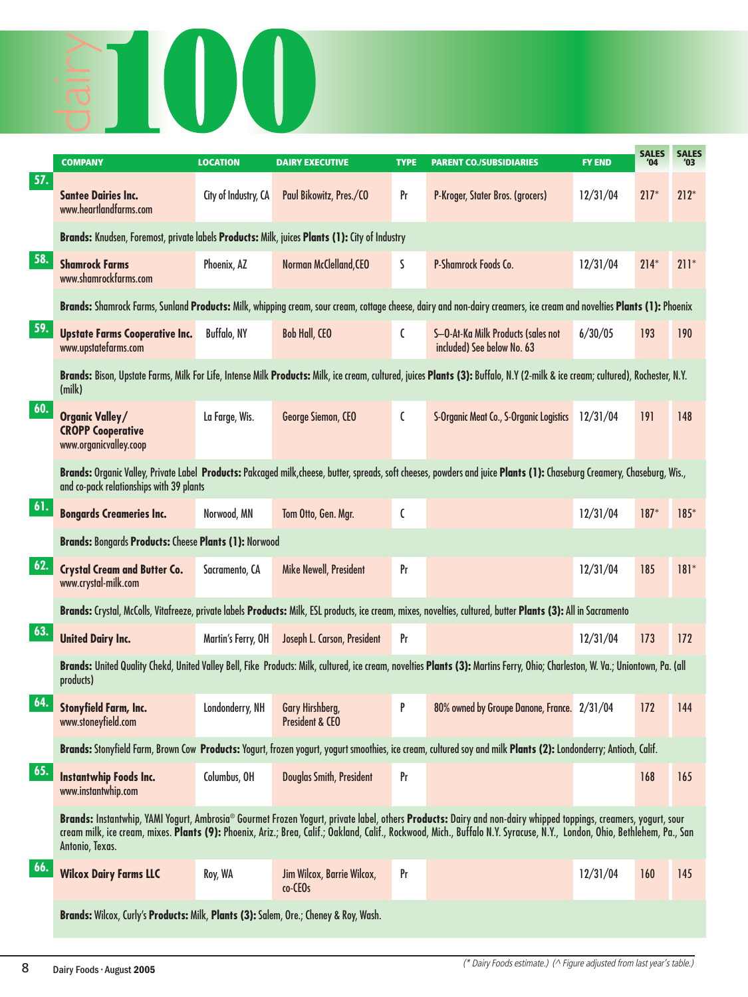

|     | <b>COMPANY</b>                                                                                | <b>LOCATION</b>      | <b>DAIRY EXECUTIVE</b>                        | <b>TYPE</b> | <b>PARENT CO./SUBSIDIARIES</b>                                                                                                                                                                                                                                                                                                              | <b>FY END</b> | <b>SALES</b><br>'04 | <b>SALES</b> |
|-----|-----------------------------------------------------------------------------------------------|----------------------|-----------------------------------------------|-------------|---------------------------------------------------------------------------------------------------------------------------------------------------------------------------------------------------------------------------------------------------------------------------------------------------------------------------------------------|---------------|---------------------|--------------|
| 57. | <b>Santee Dairies Inc.</b><br>www.heartlandfarms.com                                          | City of Industry, CA | Paul Bikowitz, Pres./CO                       | Pr          | P-Kroger, Stater Bros. (grocers)                                                                                                                                                                                                                                                                                                            | 12/31/04      | $217*$              | $212*$       |
|     | Brands: Knudsen, Foremost, private labels Products: Milk, juices Plants (1): City of Industry |                      |                                               |             |                                                                                                                                                                                                                                                                                                                                             |               |                     |              |
| 58. | <b>Shamrock Farms</b><br>www.shamrockfarms.com                                                | Phoenix, AZ          | Norman McClelland, CEO                        | S           | P-Shamrock Foods Co.                                                                                                                                                                                                                                                                                                                        | 12/31/04      | $214*$              | $211*$       |
|     |                                                                                               |                      |                                               |             | Brands: Shamrock Farms, Sunland Products: Milk, whipping cream, sour cream, cottage cheese, dairy and non-dairy creamers, ice cream and novelties Plants (1): Phoenix                                                                                                                                                                       |               |                     |              |
| 59. | <b>Upstate Farms Cooperative Inc.</b><br>www.upstatefarms.com                                 | <b>Buffalo, NY</b>   | <b>Bob Hall, CEO</b>                          | C           | S-O-At-Ka Milk Products (sales not<br>included) See below No. 63                                                                                                                                                                                                                                                                            | 6/30/05       | 193                 | 190          |
|     | (milk)                                                                                        |                      |                                               |             | Brands: Bison, Upstate Farms, Milk For Life, Intense Milk Products: Milk, ice cream, cultured, juices Plants (3): Buffalo, N.Y (2-milk & ice cream; cultured), Rochester, N.Y.                                                                                                                                                              |               |                     |              |
| 60. | <b>Organic Valley/</b><br><b>CROPP Cooperative</b><br>www.organicvalley.coop                  | La Farge, Wis.       | George Siemon, CEO                            | C           | S-Organic Meat Co., S-Organic Logistics                                                                                                                                                                                                                                                                                                     | 12/31/04      | 191                 | 148          |
|     | and co-pack relationships with 39 plants                                                      |                      |                                               |             | Brands: Organic Valley, Private Label Products: Pakcaged milk, cheese, butter, spreads, soft cheeses, powders and juice Plants (1): Chaseburg Creamery, Chaseburg, Wis.,                                                                                                                                                                    |               |                     |              |
| 61. | <b>Bongards Creameries Inc.</b>                                                               | Norwood, MN          | Tom Otto, Gen. Mgr.                           | C           |                                                                                                                                                                                                                                                                                                                                             | 12/31/04      | $187*$              | $185*$       |
|     | <b>Brands: Bongards Products: Cheese Plants (1): Norwood</b>                                  |                      |                                               |             |                                                                                                                                                                                                                                                                                                                                             |               |                     |              |
| 62. | <b>Crystal Cream and Butter Co.</b><br>www.crystal-milk.com                                   | Sacramento, CA       | Mike Newell, President                        | Pr          |                                                                                                                                                                                                                                                                                                                                             | 12/31/04      | 185                 | $181*$       |
|     |                                                                                               |                      |                                               |             | Brands: Crystal, McColls, Vitafreeze, private labels Products: Milk, ESL products, ice cream, mixes, novelties, cultured, butter Plants (3): All in Sacramento                                                                                                                                                                              |               |                     |              |
| 63. | <b>United Dairy Inc.</b>                                                                      | Martin's Ferry, OH   | Joseph L. Carson, President                   | Pr          |                                                                                                                                                                                                                                                                                                                                             | 12/31/04      | 173                 | 172          |
|     | products)                                                                                     |                      |                                               |             | Brands: United Quality Chekd, United Valley Bell, Fike Products: Milk, cultured, ice cream, novelties Plants (3): Martins Ferry, Ohio; Charleston, W. Va.; Uniontown, Pa. (all                                                                                                                                                              |               |                     |              |
| 64. | <b>Stonyfield Farm, Inc.</b><br>www.stoneyfield.com                                           | Londonderry, NH      | Gary Hirshberg,<br><b>President &amp; CEO</b> | P           | 80% owned by Groupe Danone, France. 2/31/04                                                                                                                                                                                                                                                                                                 |               | 172                 | 144          |
|     |                                                                                               |                      |                                               |             | Brands: Stonyfield Farm, Brown Cow Products: Yogurt, frozen yogurt, yogurt smoothies, ice cream, cultured soy and milk Plants (2): Londonderry; Antioch, Calif.                                                                                                                                                                             |               |                     |              |
| 65. | <b>Instantwhip Foods Inc.</b><br>www.instantwhip.com                                          | Columbus, OH         | Douglas Smith, President                      | Pr          |                                                                                                                                                                                                                                                                                                                                             |               | 168                 | 165          |
|     | Antonio, Texas.                                                                               |                      |                                               |             | Brands: Instantwhip, YAMI Yogurt, Ambrosia® Gourmet Frozen Yogurt, private label, others Products: Dairy and non-dairy whipped toppings, creamers, yogurt, sour<br>cream milk, ice cream, mixes. Plants (9): Phoenix, Ariz.; Brea, Calif.; Oakland, Calif., Rockwood, Mich., Buffalo N.Y. Syracuse, N.Y., London, Ohio, Bethlehem, Pa., San |               |                     |              |
| 66. | <b>Wilcox Dairy Farms LLC</b>                                                                 | Roy, WA              | Jim Wilcox, Barrie Wilcox,<br>co-CEOs         | Pr          |                                                                                                                                                                                                                                                                                                                                             | 12/31/04      | 160                 | 145          |
|     | Brands: Wilcox, Curly's Products: Milk, Plants (3): Salem, Ore.; Cheney & Roy, Wash.          |                      |                                               |             |                                                                                                                                                                                                                                                                                                                                             |               |                     |              |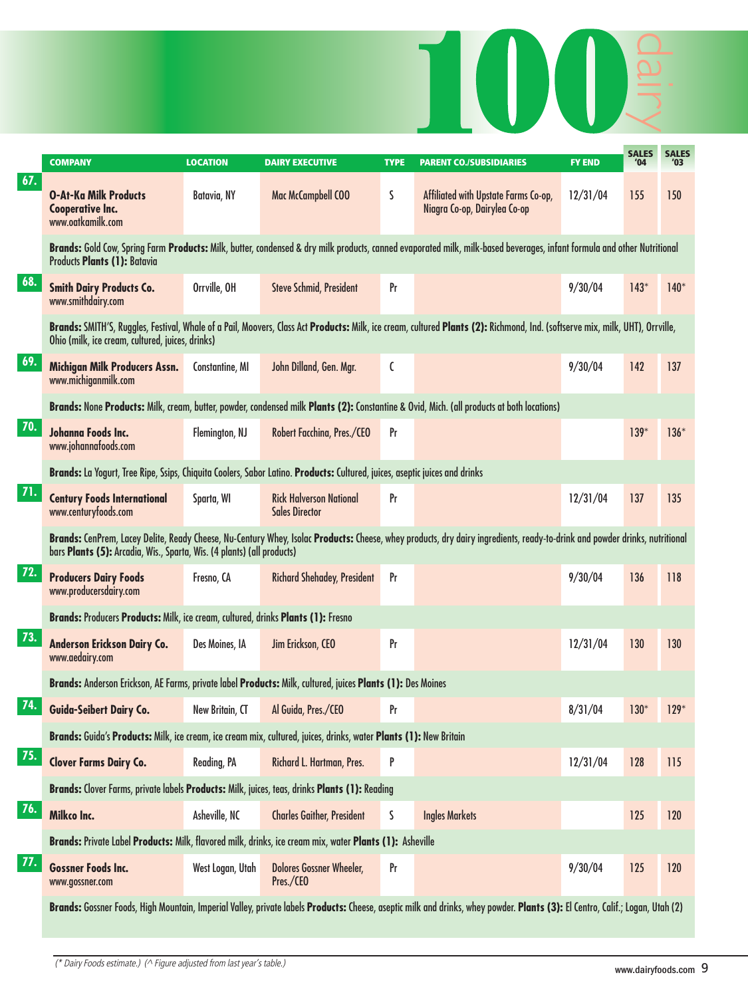

|     | <b>COMPANY</b>                                                                                                             | <b>LOCATION</b>  | <b>DAIRY EXECUTIVE</b>                                  | <b>TYPE</b> | <b>PARENT CO./SUBSIDIARIES</b>                                                                                                                                               | <b>FY END</b> | <b>SALES</b><br>'04 | <b>SALES</b><br>'03 |
|-----|----------------------------------------------------------------------------------------------------------------------------|------------------|---------------------------------------------------------|-------------|------------------------------------------------------------------------------------------------------------------------------------------------------------------------------|---------------|---------------------|---------------------|
| 67. | <b>O-At-Ka Milk Products</b><br><b>Cooperative Inc.</b><br>www.oatkamilk.com                                               | Batavia, NY      | Mac McCampbell COO                                      | S           | Affiliated with Upstate Farms Co-op,<br>Niagra Co-op, Dairylea Co-op                                                                                                         | 12/31/04      | 155                 | 150                 |
|     | Products Plants (1): Batavia                                                                                               |                  |                                                         |             | Brands: Gold Cow, Spring Farm Products: Milk, butter, condensed & dry milk products, canned evaporated milk, milk-based beverages, infant formula and other Nutritional      |               |                     |                     |
| 68. | <b>Smith Dairy Products Co.</b><br>www.smithdairy.com                                                                      | Orrville, OH     | <b>Steve Schmid, President</b>                          | Pr          |                                                                                                                                                                              | 9/30/04       | $143*$              | $140*$              |
|     | Ohio (milk, ice cream, cultured, juices, drinks)                                                                           |                  |                                                         |             | Brands: SMITH'S, Ruggles, Festival, Whale of a Pail, Moovers, Class Act Products: Milk, ice cream, cultured Plants (2): Richmond, Ind. (softserve mix, milk, UHT), Orrville, |               |                     |                     |
| 69. | Michigan Milk Producers Assn.<br>www.michiganmilk.com                                                                      | Constantine, MI  | John Dilland, Gen. Mgr.                                 | C           |                                                                                                                                                                              | 9/30/04       | 142                 | 137                 |
|     |                                                                                                                            |                  |                                                         |             | Brands: None Products: Milk, cream, butter, powder, condensed milk Plants (2): Constantine & Ovid, Mich. (all products at both locations)                                    |               |                     |                     |
| 70. | Johanna Foods Inc.<br>www.johannafoods.com                                                                                 | Flemington, NJ   | Robert Facchina, Pres./CEO                              | Pr          |                                                                                                                                                                              |               | $139*$              | $136*$              |
|     | Brands: La Yogurt, Tree Ripe, Ssips, Chiquita Coolers, Sabor Latino. Products: Cultured, juices, aseptic juices and drinks |                  |                                                         |             |                                                                                                                                                                              |               |                     |                     |
| 71. | <b>Century Foods International</b><br>www.centuryfoods.com                                                                 | Sparta, WI       | <b>Rick Halverson National</b><br><b>Sales Director</b> | Pr          |                                                                                                                                                                              | 12/31/04      | 137                 | 135                 |
|     | bars Plants (5): Arcadia, Wis., Sparta, Wis. (4 plants) (all products)                                                     |                  |                                                         |             | Brands: CenPrem, Lacey Delite, Ready Cheese, Nu-Century Whey, Isolac Products: Cheese, whey products, dry dairy ingredients, ready-to-drink and powder drinks, nutritional   |               |                     |                     |
| 72. | <b>Producers Dairy Foods</b><br>www.producersdairy.com                                                                     | Fresno, CA       | <b>Richard Shehadey, President</b>                      | Pr          |                                                                                                                                                                              | 9/30/04       | 136                 | 118                 |
|     | Brands: Producers Products: Milk, ice cream, cultured, drinks Plants (1): Fresno                                           |                  |                                                         |             |                                                                                                                                                                              |               |                     |                     |
| 73. | Anderson Erickson Dairy Co.<br>www.aedairy.com                                                                             | Des Moines, IA   | Jim Erickson, CEO                                       | Pr          |                                                                                                                                                                              | 12/31/04      | 130                 | 130                 |
|     | Brands: Anderson Erickson, AE Farms, private label Products: Milk, cultured, juices Plants (1): Des Moines                 |                  |                                                         |             |                                                                                                                                                                              |               |                     |                     |
| 74. | Guida-Seibert Dairy Co.                                                                                                    | New Britain, CT  | Al Guida, Pres./CEO                                     | Pr          |                                                                                                                                                                              | 8/31/04       | $130*$              | $129*$              |
|     | Brands: Guida's Products: Milk, ice cream, ice cream mix, cultured, juices, drinks, water Plants (1): New Britain          |                  |                                                         |             |                                                                                                                                                                              |               |                     |                     |
| 75. | <b>Clover Farms Dairy Co.</b>                                                                                              | Reading, PA      | Richard L. Hartman, Pres.                               | P           |                                                                                                                                                                              | 12/31/04      | 128                 | 115                 |
|     | Brands: Clover Farms, private labels Products: Milk, juices, teas, drinks Plants (1): Reading                              |                  |                                                         |             |                                                                                                                                                                              |               |                     |                     |
| 76. | Milkco Inc.                                                                                                                | Asheville, NC    | <b>Charles Gaither, President</b>                       | S           | <b>Ingles Markets</b>                                                                                                                                                        |               | 125                 | 120                 |
|     | Brands: Private Label Products: Milk, flavored milk, drinks, ice cream mix, water Plants (1): Asheville                    |                  |                                                         |             |                                                                                                                                                                              |               |                     |                     |
| 77. | <b>Gossner Foods Inc.</b><br>www.gossner.com                                                                               | West Logan, Utah | <b>Dolores Gossner Wheeler,</b><br>Pres./CEO            | Pr          |                                                                                                                                                                              | 9/30/04       | 125                 | 120                 |
|     |                                                                                                                            |                  |                                                         |             | Brands: Gossner Foods, High Mountain, Imperial Valley, private labels Products: Cheese, aseptic milk and drinks, whey powder. Plants (3): El Centro, Calif.; Logan, Utah (2) |               |                     |                     |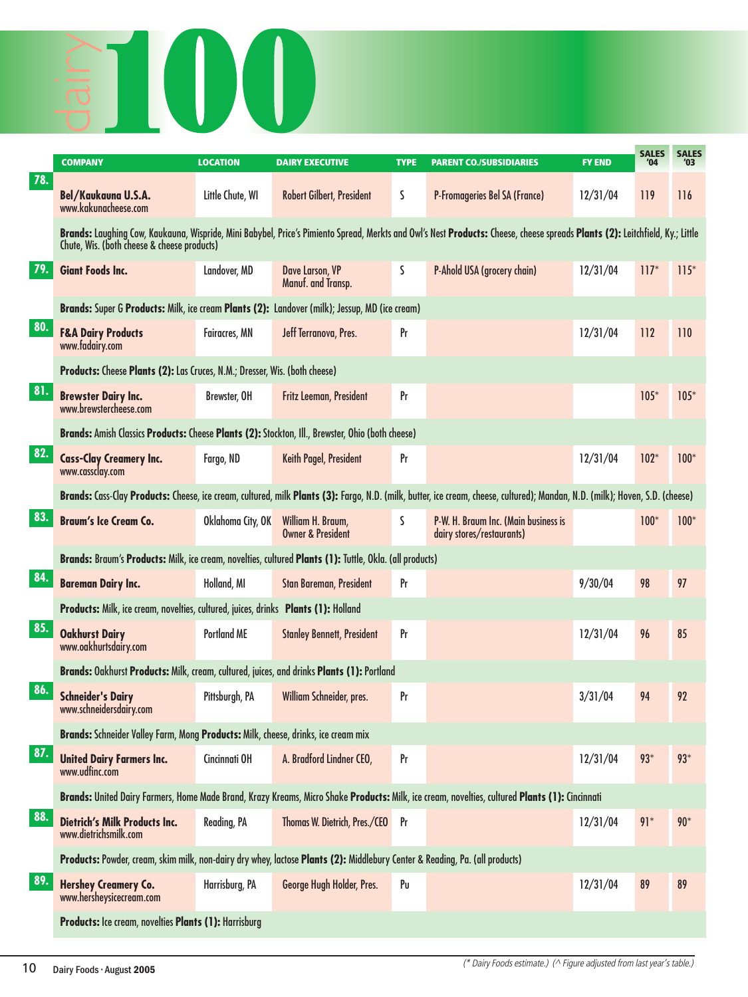

|     | <b>COMPANY</b>                                                                                                              | <b>LOCATION</b>    | <b>DAIRY EXECUTIVE</b>                            | <b>TYPE</b>    | <b>PARENT CO./SUBSIDIARIES</b>                                                                                                                                               | <b>FY END</b> | <b>SALES</b><br>'04 | <b>SALES</b><br>'03 |
|-----|-----------------------------------------------------------------------------------------------------------------------------|--------------------|---------------------------------------------------|----------------|------------------------------------------------------------------------------------------------------------------------------------------------------------------------------|---------------|---------------------|---------------------|
| 78. | <b>Bel/Kaukauna U.S.A.</b><br>www.kakunacheese.com                                                                          | Little Chute, WI   | <b>Robert Gilbert, President</b>                  | S              | <b>P-Fromageries Bel SA (France)</b>                                                                                                                                         | 12/31/04      | 119                 | 116                 |
|     | Chute, Wis. (both cheese & cheese products)                                                                                 |                    |                                                   |                | Brands: Laughing Cow, Kaukauna, Wispride, Mini Babybel, Price's Pimiento Spread, Merkts and Owl's Nest Products: Cheese, cheese spreads Plants (2): Leitchfield, Ky.; Little |               |                     |                     |
| 79. | <b>Giant Foods Inc.</b>                                                                                                     | Landover, MD       | Dave Larson, VP<br>Manuf. and Transp.             | S              | P-Ahold USA (grocery chain)                                                                                                                                                  | 12/31/04      | $117*$              | $115*$              |
|     | Brands: Super G Products: Milk, ice cream Plants (2): Landover (milk); Jessup, MD (ice cream)                               |                    |                                                   |                |                                                                                                                                                                              |               |                     |                     |
| 80. | <b>F&amp;A Dairy Products</b><br>www.fadairy.com                                                                            | Fairacres, MN      | Jeff Terranova, Pres.                             | Pr             |                                                                                                                                                                              | 12/31/04      | 112                 | 110                 |
|     | Products: Cheese Plants (2): Las Cruces, N.M.; Dresser, Wis. (both cheese)                                                  |                    |                                                   |                |                                                                                                                                                                              |               |                     |                     |
| 81. | <b>Brewster Dairy Inc.</b><br>www.brewstercheese.com                                                                        | Brewster, OH       | Fritz Leeman, President                           | Pr             |                                                                                                                                                                              |               | $105*$              | $105*$              |
|     | Brands: Amish Classics Products: Cheese Plants (2): Stockton, Ill., Brewster, Ohio (both cheese)                            |                    |                                                   |                |                                                                                                                                                                              |               |                     |                     |
| 82. | <b>Cass-Clay Creamery Inc.</b><br>www.cassclay.com                                                                          | Fargo, ND          | Keith Pagel, President                            | Pr             |                                                                                                                                                                              | 12/31/04      | $102*$              | $100*$              |
|     |                                                                                                                             |                    |                                                   |                | Brands: Cass-Clay Products: Cheese, ice cream, cultured, milk Plants (3): Fargo, N.D. (milk, butter, ice cream, cheese, cultured); Mandan, N.D. (milk); Hoven, S.D. (cheese) |               |                     |                     |
| 83. | <b>Braum's Ice Cream Co.</b>                                                                                                | Oklahoma City, OK  | William H. Braum,<br><b>Owner &amp; President</b> | S.             | P-W. H. Braum Inc. (Main business is<br>dairy stores/restaurants)                                                                                                            |               | $100*$              | $100*$              |
|     | Brands: Braum's Products: Milk, ice cream, novelties, cultured Plants (1): Tuttle, Okla. (all products)                     |                    |                                                   |                |                                                                                                                                                                              |               |                     |                     |
| 84. | <b>Bareman Dairy Inc.</b>                                                                                                   | Holland, MI        | <b>Stan Bareman, President</b>                    | Pr             |                                                                                                                                                                              | 9/30/04       | 98                  | 97                  |
|     | Products: Milk, ice cream, novelties, cultured, juices, drinks Plants (1): Holland                                          |                    |                                                   |                |                                                                                                                                                                              |               |                     |                     |
| 85. | <b>Oakhurst Dairy</b><br>www.oakhurtsdairy.com                                                                              | <b>Portland ME</b> | <b>Stanley Bennett, President</b>                 | Pr             |                                                                                                                                                                              | 12/31/04      | 96                  | 85                  |
|     | Brands: Oakhurst Products: Milk, cream, cultured, juices, and drinks Plants (1): Portland                                   |                    |                                                   |                |                                                                                                                                                                              |               |                     |                     |
| 86. | <b>Schneider's Dairy</b><br>www.schneidersdairy.com                                                                         | Pittsburgh, PA     | William Schneider, pres.                          | Pr             |                                                                                                                                                                              | 3/31/04       | 94                  | 92                  |
|     | Brands: Schneider Valley Farm, Mong Products: Milk, cheese, drinks, ice cream mix                                           |                    |                                                   |                |                                                                                                                                                                              |               |                     |                     |
| 87. | <b>United Dairy Farmers Inc.</b><br>www.udfinc.com                                                                          | Cincinnati OH      | A. Bradford Lindner CEO,                          | Pr             |                                                                                                                                                                              | 12/31/04      | $93*$               | $93*$               |
|     |                                                                                                                             |                    |                                                   |                | Brands: United Dairy Farmers, Home Made Brand, Krazy Kreams, Micro Shake Products: Milk, ice cream, novelties, cultured Plants (1): Cincinnati                               |               |                     |                     |
| 88. | <b>Dietrich's Milk Products Inc.</b><br>www.dietrichsmilk.com                                                               | Reading, PA        | Thomas W. Dietrich, Pres./CEO Pr                  |                |                                                                                                                                                                              | 12/31/04      | $91*$               | $90*$               |
|     | Products: Powder, cream, skim milk, non-dairy dry whey, lactose Plants (2): Middlebury Center & Reading, Pa. (all products) |                    |                                                   |                |                                                                                                                                                                              |               |                     |                     |
| 89. | <b>Hershey Creamery Co.</b><br>www.hersheysicecream.com                                                                     | Harrisburg, PA     | George Hugh Holder, Pres.                         | P <sub>U</sub> |                                                                                                                                                                              | 12/31/04      | 89                  | 89                  |
|     | Products: Ice cream, novelties Plants (1): Harrisburg                                                                       |                    |                                                   |                |                                                                                                                                                                              |               |                     |                     |